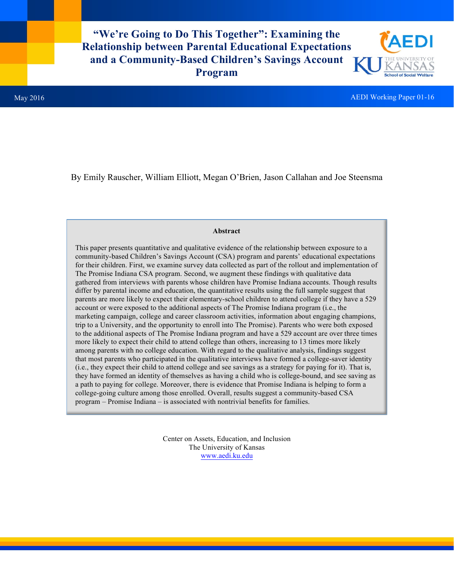**"We're Going to Do This Together": Examining the Relationship between Parental Educational Expectations and a Community-Based Children's Savings Account Program** 



By Emily Rauscher, William Elliott, Megan O'Brien, Jason Callahan and Joe Steensma

# **Abstract**

This paper presents quantitative and qualitative evidence of the relationship between exposure to a community-based Children's Savings Account (CSA) program and parents' educational expectations for their children. First, we examine survey data collected as part of the rollout and implementation of The Promise Indiana CSA program. Second, we augment these findings with qualitative data gathered from interviews with parents whose children have Promise Indiana accounts. Though results differ by parental income and education, the quantitative results using the full sample suggest that parents are more likely to expect their elementary-school children to attend college if they have a 529 account or were exposed to the additional aspects of The Promise Indiana program (i.e., the marketing campaign, college and career classroom activities, information about engaging champions, trip to a University, and the opportunity to enroll into The Promise). Parents who were both exposed to the additional aspects of The Promise Indiana program and have a 529 account are over three times more likely to expect their child to attend college than others, increasing to 13 times more likely among parents with no college education. With regard to the qualitative analysis, findings suggest that most parents who participated in the qualitative interviews have formed a college-saver identity (i.e., they expect their child to attend college and see savings as a strategy for paying for it). That is, they have formed an identity of themselves as having a child who is college-bound, and see saving as a path to paying for college. Moreover, there is evidence that Promise Indiana is helping to form a college-going culture among those enrolled. Overall, results suggest a community-based CSA program – Promise Indiana – is associated with nontrivial benefits for families.

> Center on Assets, Education, and Inclusion The University of Kansas www.aedi.ku.edu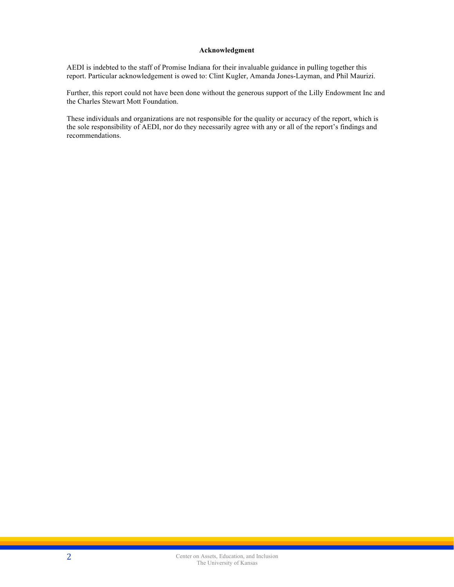# **Acknowledgment**

AEDI is indebted to the staff of Promise Indiana for their invaluable guidance in pulling together this report. Particular acknowledgement is owed to: Clint Kugler, Amanda Jones-Layman, and Phil Maurizi.

Further, this report could not have been done without the generous support of the Lilly Endowment Inc and the Charles Stewart Mott Foundation.

These individuals and organizations are not responsible for the quality or accuracy of the report, which is the sole responsibility of AEDI, nor do they necessarily agree with any or all of the report's findings and recommendations.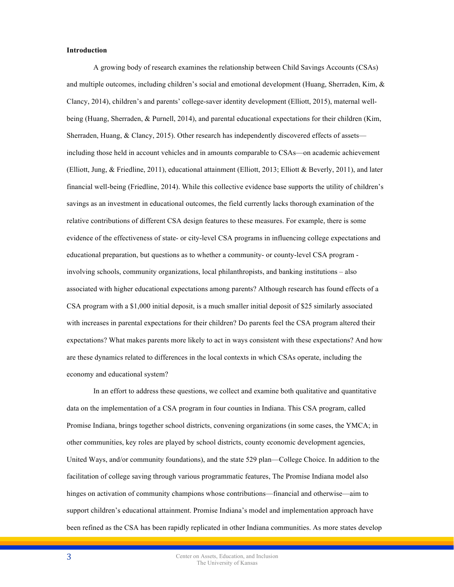## **Introduction**

A growing body of research examines the relationship between Child Savings Accounts (CSAs) and multiple outcomes, including children's social and emotional development (Huang, Sherraden, Kim,  $\&$ Clancy, 2014), children's and parents' college-saver identity development (Elliott, 2015), maternal wellbeing (Huang, Sherraden, & Purnell, 2014), and parental educational expectations for their children (Kim, Sherraden, Huang, & Clancy, 2015). Other research has independently discovered effects of assets including those held in account vehicles and in amounts comparable to CSAs—on academic achievement (Elliott, Jung, & Friedline, 2011), educational attainment (Elliott, 2013; Elliott & Beverly, 2011), and later financial well-being (Friedline, 2014). While this collective evidence base supports the utility of children's savings as an investment in educational outcomes, the field currently lacks thorough examination of the relative contributions of different CSA design features to these measures. For example, there is some evidence of the effectiveness of state- or city-level CSA programs in influencing college expectations and educational preparation, but questions as to whether a community- or county-level CSA program involving schools, community organizations, local philanthropists, and banking institutions – also associated with higher educational expectations among parents? Although research has found effects of a CSA program with a \$1,000 initial deposit, is a much smaller initial deposit of \$25 similarly associated with increases in parental expectations for their children? Do parents feel the CSA program altered their expectations? What makes parents more likely to act in ways consistent with these expectations? And how are these dynamics related to differences in the local contexts in which CSAs operate, including the economy and educational system?

In an effort to address these questions, we collect and examine both qualitative and quantitative data on the implementation of a CSA program in four counties in Indiana. This CSA program, called Promise Indiana, brings together school districts, convening organizations (in some cases, the YMCA; in other communities, key roles are played by school districts, county economic development agencies, United Ways, and/or community foundations), and the state 529 plan—College Choice. In addition to the facilitation of college saving through various programmatic features, The Promise Indiana model also hinges on activation of community champions whose contributions—financial and otherwise—aim to support children's educational attainment. Promise Indiana's model and implementation approach have been refined as the CSA has been rapidly replicated in other Indiana communities. As more states develop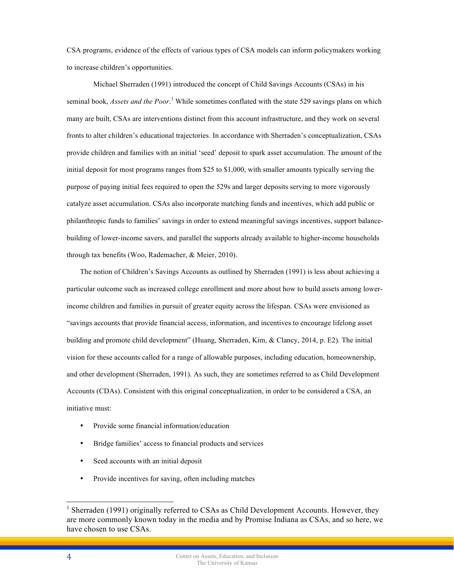CSA programs, evidence of the effects of various types of CSA models can inform policymakers working to increase children's opportunities.

Michael Sherraden (1991) introduced the concept of Child Savings Accounts (CSAs) in his seminal book, *Assets and the Poor*.<sup>1</sup> While sometimes conflated with the state 529 savings plans on which many are built, CSAs are interventions distinct from this account infrastructure, and they work on several fronts to alter children's educational trajectories. In accordance with Sherraden's conceptualization, CSAs provide children and families with an initial 'seed' deposit to spark asset accumulation. The amount of the initial deposit for most programs ranges from \$25 to \$1,000, with smaller amounts typically serving the purpose of paying initial fees required to open the 529s and larger deposits serving to more vigorously catalyze asset accumulation. CSAs also incorporate matching funds and incentives, which add public or philanthropic funds to families' savings in order to extend meaningful savings incentives, support balancebuilding of lower-income savers, and parallel the supports already available to higher-income households through tax benefits (Woo, Rademacher, & Meier, 2010).

The notion of Children's Savings Accounts as outlined by Sherraden (1991) is less about achieving a particular outcome such as increased college enrollment and more about how to build assets among lowerincome children and families in pursuit of greater equity across the lifespan. CSAs were envisioned as "savings accounts that provide financial access, information, and incentives to encourage lifelong asset building and promote child development" (Huang, Sherraden, Kim, & Clancy, 2014, p. E2). The initial vision for these accounts called for a range of allowable purposes, including education, homeownership, and other development (Sherraden, 1991). As such, they are sometimes referred to as Child Development Accounts (CDAs). Consistent with this original conceptualization, in order to be considered a CSA, an initiative must:

- Provide some financial information/education
- Bridge families' access to financial products and services
- Seed accounts with an initial deposit
- Provide incentives for saving, often including matches

<sup>&</sup>lt;sup>1</sup> Sherraden (1991) originally referred to CSAs as Child Development Accounts. However, they are more commonly known today in the media and by Promise Indiana as CSAs, and so here, we have chosen to use CSAs.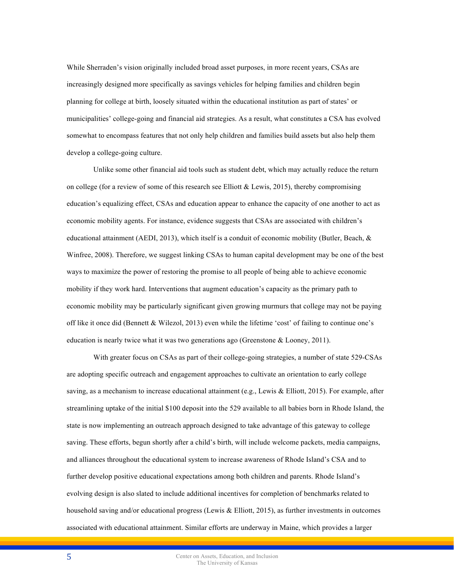While Sherraden's vision originally included broad asset purposes, in more recent years, CSAs are increasingly designed more specifically as savings vehicles for helping families and children begin planning for college at birth, loosely situated within the educational institution as part of states' or municipalities' college-going and financial aid strategies. As a result, what constitutes a CSA has evolved somewhat to encompass features that not only help children and families build assets but also help them develop a college-going culture.

Unlike some other financial aid tools such as student debt, which may actually reduce the return on college (for a review of some of this research see Elliott & Lewis, 2015), thereby compromising education's equalizing effect, CSAs and education appear to enhance the capacity of one another to act as economic mobility agents. For instance, evidence suggests that CSAs are associated with children's educational attainment (AEDI, 2013), which itself is a conduit of economic mobility (Butler, Beach, & Winfree, 2008). Therefore, we suggest linking CSAs to human capital development may be one of the best ways to maximize the power of restoring the promise to all people of being able to achieve economic mobility if they work hard. Interventions that augment education's capacity as the primary path to economic mobility may be particularly significant given growing murmurs that college may not be paying off like it once did (Bennett & Wilezol, 2013) even while the lifetime 'cost' of failing to continue one's education is nearly twice what it was two generations ago (Greenstone  $&$  Looney, 2011).

With greater focus on CSAs as part of their college-going strategies, a number of state 529-CSAs are adopting specific outreach and engagement approaches to cultivate an orientation to early college saving, as a mechanism to increase educational attainment (e.g., Lewis & Elliott, 2015). For example, after streamlining uptake of the initial \$100 deposit into the 529 available to all babies born in Rhode Island, the state is now implementing an outreach approach designed to take advantage of this gateway to college saving. These efforts, begun shortly after a child's birth, will include welcome packets, media campaigns, and alliances throughout the educational system to increase awareness of Rhode Island's CSA and to further develop positive educational expectations among both children and parents. Rhode Island's evolving design is also slated to include additional incentives for completion of benchmarks related to household saving and/or educational progress (Lewis & Elliott, 2015), as further investments in outcomes associated with educational attainment. Similar efforts are underway in Maine, which provides a larger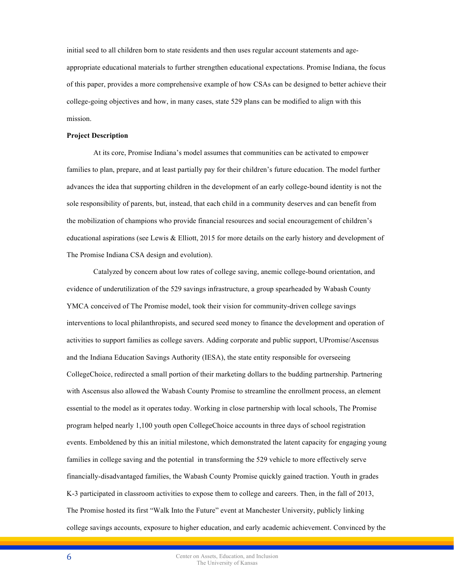initial seed to all children born to state residents and then uses regular account statements and ageappropriate educational materials to further strengthen educational expectations. Promise Indiana, the focus of this paper, provides a more comprehensive example of how CSAs can be designed to better achieve their college-going objectives and how, in many cases, state 529 plans can be modified to align with this mission.

# **Project Description**

At its core, Promise Indiana's model assumes that communities can be activated to empower families to plan, prepare, and at least partially pay for their children's future education. The model further advances the idea that supporting children in the development of an early college-bound identity is not the sole responsibility of parents, but, instead, that each child in a community deserves and can benefit from the mobilization of champions who provide financial resources and social encouragement of children's educational aspirations (see Lewis & Elliott, 2015 for more details on the early history and development of The Promise Indiana CSA design and evolution).

Catalyzed by concern about low rates of college saving, anemic college-bound orientation, and evidence of underutilization of the 529 savings infrastructure, a group spearheaded by Wabash County YMCA conceived of The Promise model, took their vision for community-driven college savings interventions to local philanthropists, and secured seed money to finance the development and operation of activities to support families as college savers. Adding corporate and public support, UPromise/Ascensus and the Indiana Education Savings Authority (IESA), the state entity responsible for overseeing CollegeChoice, redirected a small portion of their marketing dollars to the budding partnership. Partnering with Ascensus also allowed the Wabash County Promise to streamline the enrollment process, an element essential to the model as it operates today. Working in close partnership with local schools, The Promise program helped nearly 1,100 youth open CollegeChoice accounts in three days of school registration events. Emboldened by this an initial milestone, which demonstrated the latent capacity for engaging young families in college saving and the potential in transforming the 529 vehicle to more effectively serve financially-disadvantaged families, the Wabash County Promise quickly gained traction. Youth in grades K-3 participated in classroom activities to expose them to college and careers. Then, in the fall of 2013, The Promise hosted its first "Walk Into the Future" event at Manchester University, publicly linking college savings accounts, exposure to higher education, and early academic achievement. Convinced by the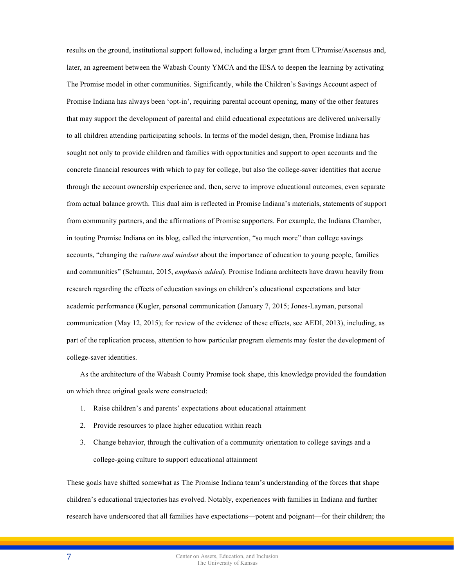results on the ground, institutional support followed, including a larger grant from UPromise/Ascensus and, later, an agreement between the Wabash County YMCA and the IESA to deepen the learning by activating The Promise model in other communities. Significantly, while the Children's Savings Account aspect of Promise Indiana has always been 'opt-in', requiring parental account opening, many of the other features that may support the development of parental and child educational expectations are delivered universally to all children attending participating schools. In terms of the model design, then, Promise Indiana has sought not only to provide children and families with opportunities and support to open accounts and the concrete financial resources with which to pay for college, but also the college-saver identities that accrue through the account ownership experience and, then, serve to improve educational outcomes, even separate from actual balance growth. This dual aim is reflected in Promise Indiana's materials, statements of support from community partners, and the affirmations of Promise supporters. For example, the Indiana Chamber, in touting Promise Indiana on its blog, called the intervention, "so much more" than college savings accounts, "changing the *culture and mindset* about the importance of education to young people, families and communities" (Schuman, 2015, *emphasis added*). Promise Indiana architects have drawn heavily from research regarding the effects of education savings on children's educational expectations and later academic performance (Kugler, personal communication (January 7, 2015; Jones-Layman, personal communication (May 12, 2015); for review of the evidence of these effects, see AEDI, 2013), including, as part of the replication process, attention to how particular program elements may foster the development of college-saver identities.

As the architecture of the Wabash County Promise took shape, this knowledge provided the foundation on which three original goals were constructed:

- 1. Raise children's and parents' expectations about educational attainment
- 2. Provide resources to place higher education within reach
- 3. Change behavior, through the cultivation of a community orientation to college savings and a college-going culture to support educational attainment

These goals have shifted somewhat as The Promise Indiana team's understanding of the forces that shape children's educational trajectories has evolved. Notably, experiences with families in Indiana and further research have underscored that all families have expectations—potent and poignant—for their children; the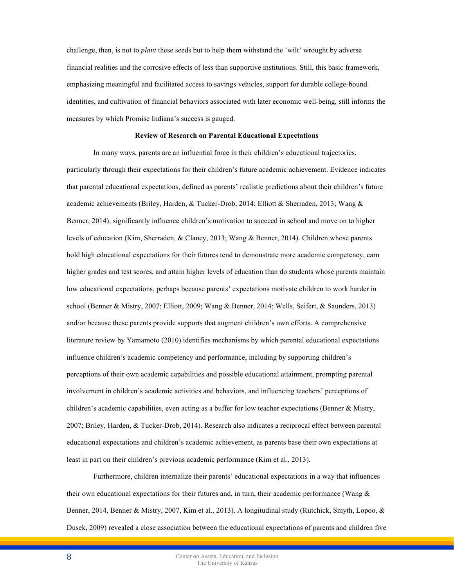challenge, then, is not to *plant* these seeds but to help them withstand the 'wilt' wrought by adverse financial realities and the corrosive effects of less than supportive institutions. Still, this basic framework, emphasizing meaningful and facilitated access to savings vehicles, support for durable college-bound identities, and cultivation of financial behaviors associated with later economic well-being, still informs the measures by which Promise Indiana's success is gauged.

## **Review of Research on Parental Educational Expectations**

In many ways, parents are an influential force in their children's educational trajectories, particularly through their expectations for their children's future academic achievement. Evidence indicates that parental educational expectations, defined as parents' realistic predictions about their children's future academic achievements (Briley, Harden, & Tucker-Drob, 2014; Elliott & Sherraden, 2013; Wang & Benner, 2014), significantly influence children's motivation to succeed in school and move on to higher levels of education (Kim, Sherraden, & Clancy, 2013; Wang & Benner, 2014). Children whose parents hold high educational expectations for their futures tend to demonstrate more academic competency, earn higher grades and test scores, and attain higher levels of education than do students whose parents maintain low educational expectations, perhaps because parents' expectations motivate children to work harder in school (Benner & Mistry, 2007; Elliott, 2009; Wang & Benner, 2014; Wells, Seifert, & Saunders, 2013) and/or because these parents provide supports that augment children's own efforts. A comprehensive literature review by Yamamoto (2010) identifies mechanisms by which parental educational expectations influence children's academic competency and performance, including by supporting children's perceptions of their own academic capabilities and possible educational attainment, prompting parental involvement in children's academic activities and behaviors, and influencing teachers' perceptions of children's academic capabilities, even acting as a buffer for low teacher expectations (Benner & Mistry, 2007; Briley, Harden, & Tucker-Drob, 2014). Research also indicates a reciprocal effect between parental educational expectations and children's academic achievement, as parents base their own expectations at least in part on their children's previous academic performance (Kim et al., 2013).

Furthermore, children internalize their parents' educational expectations in a way that influences their own educational expectations for their futures and, in turn, their academic performance (Wang  $\&$ Benner, 2014, Benner & Mistry, 2007, Kim et al., 2013). A longitudinal study (Rutchick, Smyth, Lopoo, & Dusek, 2009) revealed a close association between the educational expectations of parents and children five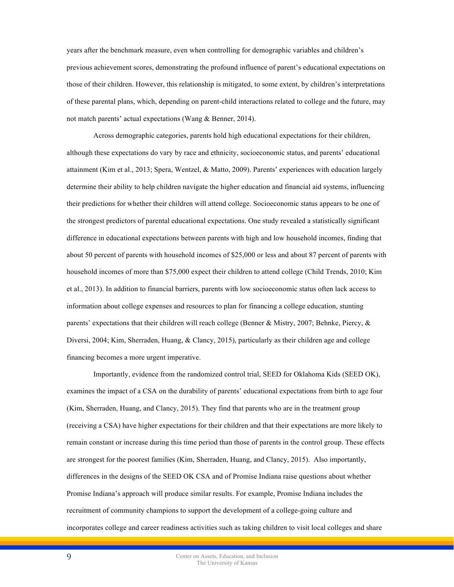years after the benchmark measure, even when controlling for demographic variables and children's previous achievement scores, demonstrating the profound influence of parent's educational expectations on those of their children. However, this relationship is mitigated, to some extent, by children's interpretations of these parental plans, which, depending on parent-child interactions related to college and the future, may not match parents' actual expectations (Wang & Benner, 2014).

Across demographic categories, parents hold high educational expectations for their children, although these expectations do vary by race and ethnicity, socioeconomic status, and parents' educational attainment (Kim et al., 2013; Spera, Wentzel, & Matto, 2009). Parents' experiences with education largely determine their ability to help children navigate the higher education and financial aid systems, influencing their predictions for whether their children will attend college. Socioeconomic status appears to be one of the strongest predictors of parental educational expectations. One study revealed a statistically significant difference in educational expectations between parents with high and low household incomes, finding that about 50 percent of parents with household incomes of \$25,000 or less and about 87 percent of parents with household incomes of more than \$75,000 expect their children to attend college (Child Trends, 2010; Kim et al., 2013). In addition to financial barriers, parents with low socioeconomic status often lack access to information about college expenses and resources to plan for financing a college education, stunting parents' expectations that their children will reach college (Benner & Mistry, 2007; Behnke, Piercy, & Diversi, 2004; Kim, Sherraden, Huang, & Clancy, 2015), particularly as their children age and college financing becomes a more urgent imperative.

Importantly, evidence from the randomized control trial, SEED for Oklahoma Kids (SEED OK), examines the impact of a CSA on the durability of parents' educational expectations from birth to age four (Kim, Sherraden, Huang, and Clancy, 2015). They find that parents who are in the treatment group (receiving a CSA) have higher expectations for their children and that their expectations are more likely to remain constant or increase during this time period than those of parents in the control group. These effects are strongest for the poorest families (Kim, Sherraden, Huang, and Clancy, 2015). Also importantly, differences in the designs of the SEED OK CSA and of Promise Indiana raise questions about whether Promise Indiana's approach will produce similar results. For example, Promise Indiana includes the recruitment of community champions to support the development of a college-going culture and incorporates college and career readiness activities such as taking children to visit local colleges and share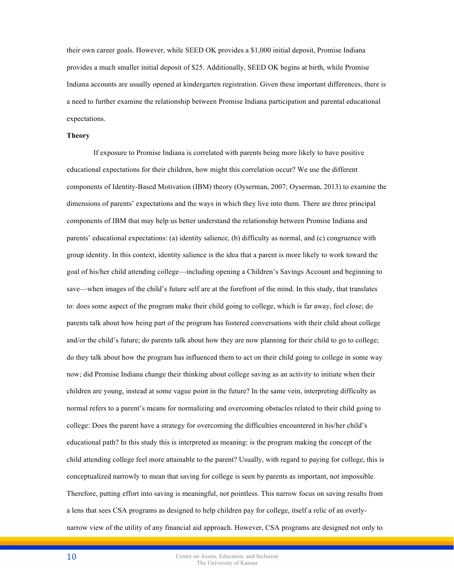their own career goals. However, while SEED OK provides a \$1,000 initial deposit, Promise Indiana provides a much smaller initial deposit of \$25. Additionally, SEED OK begins at birth, while Promise Indiana accounts are usually opened at kindergarten registration. Given these important differences, there is a need to further examine the relationship between Promise Indiana participation and parental educational expectations.

## **Theory**

If exposure to Promise Indiana is correlated with parents being more likely to have positive educational expectations for their children, how might this correlation occur? We use the different components of Identity-Based Motivation (IBM) theory (Oyserman, 2007; Oyserman, 2013) to examine the dimensions of parents' expectations and the ways in which they live into them. There are three principal components of IBM that may help us better understand the relationship between Promise Indiana and parents' educational expectations: (a) identity salience, (b) difficulty as normal, and (c) congruence with group identity. In this context, identity salience is the idea that a parent is more likely to work toward the goal of his/her child attending college—including opening a Children's Savings Account and beginning to save—when images of the child's future self are at the forefront of the mind. In this study, that translates to: does some aspect of the program make their child going to college, which is far away, feel close; do parents talk about how being part of the program has fostered conversations with their child about college and/or the child's future; do parents talk about how they are now planning for their child to go to college; do they talk about how the program has influenced them to act on their child going to college in some way now; did Promise Indiana change their thinking about college saving as an activity to initiate when their children are young, instead at some vague point in the future? In the same vein, interpreting difficulty as normal refers to a parent's means for normalizing and overcoming obstacles related to their child going to college: Does the parent have a strategy for overcoming the difficulties encountered in his/her child's educational path? In this study this is interpreted as meaning: is the program making the concept of the child attending college feel more attainable to the parent? Usually, with regard to paying for college, this is conceptualized narrowly to mean that saving for college is seen by parents as important, not impossible. Therefore, putting effort into saving is meaningful, not pointless. This narrow focus on saving results from a lens that sees CSA programs as designed to help children pay for college, itself a relic of an overlynarrow view of the utility of any financial aid approach. However, CSA programs are designed not only to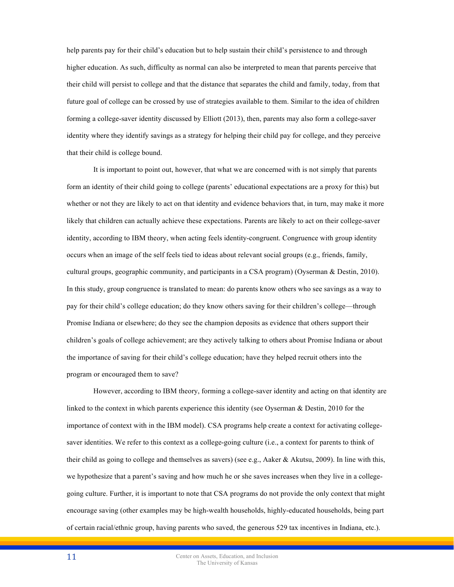help parents pay for their child's education but to help sustain their child's persistence to and through higher education. As such, difficulty as normal can also be interpreted to mean that parents perceive that their child will persist to college and that the distance that separates the child and family, today, from that future goal of college can be crossed by use of strategies available to them. Similar to the idea of children forming a college-saver identity discussed by Elliott (2013), then, parents may also form a college-saver identity where they identify savings as a strategy for helping their child pay for college, and they perceive that their child is college bound.

It is important to point out, however, that what we are concerned with is not simply that parents form an identity of their child going to college (parents' educational expectations are a proxy for this) but whether or not they are likely to act on that identity and evidence behaviors that, in turn, may make it more likely that children can actually achieve these expectations. Parents are likely to act on their college-saver identity, according to IBM theory, when acting feels identity-congruent. Congruence with group identity occurs when an image of the self feels tied to ideas about relevant social groups (e.g., friends, family, cultural groups, geographic community, and participants in a CSA program) (Oyserman & Destin, 2010). In this study, group congruence is translated to mean: do parents know others who see savings as a way to pay for their child's college education; do they know others saving for their children's college—through Promise Indiana or elsewhere; do they see the champion deposits as evidence that others support their children's goals of college achievement; are they actively talking to others about Promise Indiana or about the importance of saving for their child's college education; have they helped recruit others into the program or encouraged them to save?

However, according to IBM theory, forming a college-saver identity and acting on that identity are linked to the context in which parents experience this identity (see Oyserman & Destin, 2010 for the importance of context with in the IBM model). CSA programs help create a context for activating collegesaver identities. We refer to this context as a college-going culture (i.e., a context for parents to think of their child as going to college and themselves as savers) (see e.g., Aaker & Akutsu, 2009). In line with this, we hypothesize that a parent's saving and how much he or she saves increases when they live in a collegegoing culture. Further, it is important to note that CSA programs do not provide the only context that might encourage saving (other examples may be high-wealth households, highly-educated households, being part of certain racial/ethnic group, having parents who saved, the generous 529 tax incentives in Indiana, etc.).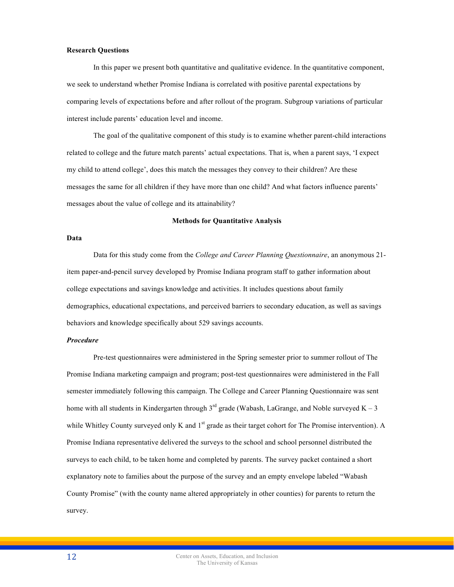# **Research Questions**

In this paper we present both quantitative and qualitative evidence. In the quantitative component, we seek to understand whether Promise Indiana is correlated with positive parental expectations by comparing levels of expectations before and after rollout of the program. Subgroup variations of particular interest include parents' education level and income.

The goal of the qualitative component of this study is to examine whether parent-child interactions related to college and the future match parents' actual expectations. That is, when a parent says, 'I expect my child to attend college', does this match the messages they convey to their children? Are these messages the same for all children if they have more than one child? And what factors influence parents' messages about the value of college and its attainability?

## **Methods for Quantitative Analysis**

# **Data**

Data for this study come from the *College and Career Planning Questionnaire*, an anonymous 21 item paper-and-pencil survey developed by Promise Indiana program staff to gather information about college expectations and savings knowledge and activities. It includes questions about family demographics, educational expectations, and perceived barriers to secondary education, as well as savings behaviors and knowledge specifically about 529 savings accounts.

#### *Procedure*

Pre-test questionnaires were administered in the Spring semester prior to summer rollout of The Promise Indiana marketing campaign and program; post-test questionnaires were administered in the Fall semester immediately following this campaign. The College and Career Planning Questionnaire was sent home with all students in Kindergarten through  $3<sup>rd</sup>$  grade (Wabash, LaGrange, and Noble surveyed K – 3 while Whitley County surveyed only K and  $1<sup>st</sup>$  grade as their target cohort for The Promise intervention). A Promise Indiana representative delivered the surveys to the school and school personnel distributed the surveys to each child, to be taken home and completed by parents. The survey packet contained a short explanatory note to families about the purpose of the survey and an empty envelope labeled "Wabash County Promise" (with the county name altered appropriately in other counties) for parents to return the survey.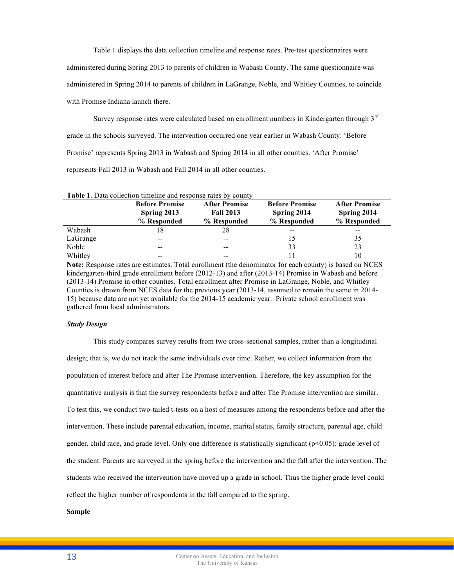Table 1 displays the data collection timeline and response rates. Pre-test questionnaires were administered during Spring 2013 to parents of children in Wabash County. The same questionnaire was administered in Spring 2014 to parents of children in LaGrange, Noble, and Whitley Counties, to coincide with Promise Indiana launch there.

Survey response rates were calculated based on enrollment numbers in Kindergarten through 3<sup>rd</sup> grade in the schools surveyed. The intervention occurred one year earlier in Wabash County. 'Before Promise' represents Spring 2013 in Wabash and Spring 2014 in all other counties. 'After Promise' represents Fall 2013 in Wabash and Fall 2014 in all other counties.

|          | <b>Table 1.</b> Data collection timeline and response rates by county |                                          |                                      |                                     |  |  |  |  |
|----------|-----------------------------------------------------------------------|------------------------------------------|--------------------------------------|-------------------------------------|--|--|--|--|
|          | <b>Before Promise</b><br>Spring 2013                                  | <b>After Promise</b><br><b>Fall 2013</b> | <b>Before Promise</b><br>Spring 2014 | <b>After Promise</b><br>Spring 2014 |  |  |  |  |
|          | % Responded                                                           | % Responded                              | % Responded                          | % Responded                         |  |  |  |  |
| Wabash   | 18                                                                    | 28                                       | --                                   |                                     |  |  |  |  |
| LaGrange | --                                                                    | $- -$                                    | 15                                   | 35                                  |  |  |  |  |
| Noble    | --                                                                    | --                                       | 33                                   | 23                                  |  |  |  |  |
| Whitley  | --                                                                    | --                                       | 11                                   | 10                                  |  |  |  |  |

**Note:** Response rates are estimates. Total enrollment (the denominator for each county) is based on NCES kindergarten-third grade enrollment before (2012-13) and after (2013-14) Promise in Wabash and before (2013-14) Promise in other counties. Total enrollment after Promise in LaGrange, Noble, and Whitley Counties is drawn from NCES data for the previous year (2013-14, assumed to remain the same in 2014- 15) because data are not yet available for the 2014-15 academic year. Private school enrollment was gathered from local administrators.

## *Study Design*

This study compares survey results from two cross-sectional samples, rather than a longitudinal design; that is, we do not track the same individuals over time. Rather, we collect information from the population of interest before and after The Promise intervention. Therefore, the key assumption for the quantitative analysis is that the survey respondents before and after The Promise intervention are similar. To test this, we conduct two-tailed t-tests on a host of measures among the respondents before and after the intervention. These include parental education, income, marital status, family structure, parental age, child gender, child race, and grade level. Only one difference is statistically significant (p<0.05): grade level of the student. Parents are surveyed in the spring before the intervention and the fall after the intervention. The students who received the intervention have moved up a grade in school. Thus the higher grade level could reflect the higher number of respondents in the fall compared to the spring.

# **Sample**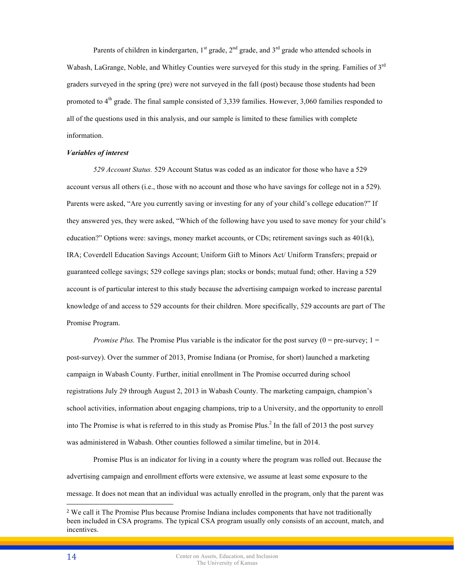Parents of children in kindergarten,  $1<sup>st</sup>$  grade,  $2<sup>nd</sup>$  grade, and  $3<sup>rd</sup>$  grade who attended schools in Wabash, LaGrange, Noble, and Whitley Counties were surveyed for this study in the spring. Families of 3<sup>rd</sup> graders surveyed in the spring (pre) were not surveyed in the fall (post) because those students had been promoted to  $4<sup>th</sup>$  grade. The final sample consisted of 3,339 families. However, 3,060 families responded to all of the questions used in this analysis, and our sample is limited to these families with complete information.

#### *Variables of interest*

*529 Account Status.* 529 Account Status was coded as an indicator for those who have a 529 account versus all others (i.e., those with no account and those who have savings for college not in a 529). Parents were asked, "Are you currently saving or investing for any of your child's college education?" If they answered yes, they were asked, "Which of the following have you used to save money for your child's education?" Options were: savings, money market accounts, or CDs; retirement savings such as 401(k), IRA; Coverdell Education Savings Account; Uniform Gift to Minors Act/ Uniform Transfers; prepaid or guaranteed college savings; 529 college savings plan; stocks or bonds; mutual fund; other. Having a 529 account is of particular interest to this study because the advertising campaign worked to increase parental knowledge of and access to 529 accounts for their children. More specifically, 529 accounts are part of The Promise Program.

*Promise Plus.* The Promise Plus variable is the indicator for the post survey  $(0 = pre-surve$ ;  $1 =$ post-survey). Over the summer of 2013, Promise Indiana (or Promise, for short) launched a marketing campaign in Wabash County. Further, initial enrollment in The Promise occurred during school registrations July 29 through August 2, 2013 in Wabash County. The marketing campaign, champion's school activities, information about engaging champions, trip to a University, and the opportunity to enroll into The Promise is what is referred to in this study as Promise Plus.<sup>2</sup> In the fall of 2013 the post survey was administered in Wabash. Other counties followed a similar timeline, but in 2014.

Promise Plus is an indicator for living in a county where the program was rolled out. Because the advertising campaign and enrollment efforts were extensive, we assume at least some exposure to the message. It does not mean that an individual was actually enrolled in the program, only that the parent was

 $\overline{a}$ 

<sup>2</sup> We call it The Promise Plus because Promise Indiana includes components that have not traditionally been included in CSA programs. The typical CSA program usually only consists of an account, match, and incentives.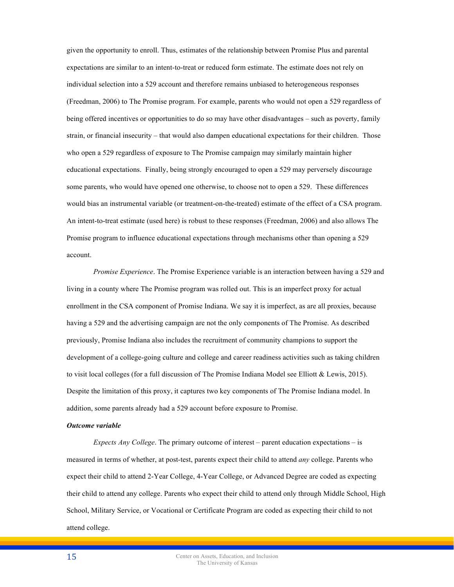given the opportunity to enroll. Thus, estimates of the relationship between Promise Plus and parental expectations are similar to an intent-to-treat or reduced form estimate. The estimate does not rely on individual selection into a 529 account and therefore remains unbiased to heterogeneous responses (Freedman, 2006) to The Promise program. For example, parents who would not open a 529 regardless of being offered incentives or opportunities to do so may have other disadvantages – such as poverty, family strain, or financial insecurity – that would also dampen educational expectations for their children. Those who open a 529 regardless of exposure to The Promise campaign may similarly maintain higher educational expectations. Finally, being strongly encouraged to open a 529 may perversely discourage some parents, who would have opened one otherwise, to choose not to open a 529. These differences would bias an instrumental variable (or treatment-on-the-treated) estimate of the effect of a CSA program. An intent-to-treat estimate (used here) is robust to these responses (Freedman, 2006) and also allows The Promise program to influence educational expectations through mechanisms other than opening a 529 account.

*Promise Experience*. The Promise Experience variable is an interaction between having a 529 and living in a county where The Promise program was rolled out. This is an imperfect proxy for actual enrollment in the CSA component of Promise Indiana. We say it is imperfect, as are all proxies, because having a 529 and the advertising campaign are not the only components of The Promise. As described previously, Promise Indiana also includes the recruitment of community champions to support the development of a college-going culture and college and career readiness activities such as taking children to visit local colleges (for a full discussion of The Promise Indiana Model see Elliott & Lewis, 2015). Despite the limitation of this proxy, it captures two key components of The Promise Indiana model. In addition, some parents already had a 529 account before exposure to Promise.

# *Outcome variable*

*Expects Any College*. The primary outcome of interest – parent education expectations – is measured in terms of whether, at post-test, parents expect their child to attend *any* college. Parents who expect their child to attend 2-Year College, 4-Year College, or Advanced Degree are coded as expecting their child to attend any college. Parents who expect their child to attend only through Middle School, High School, Military Service, or Vocational or Certificate Program are coded as expecting their child to not attend college.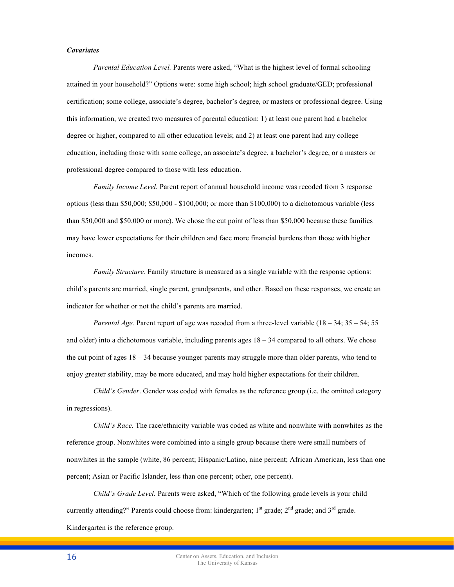## *Covariates*

*Parental Education Level.* Parents were asked, "What is the highest level of formal schooling attained in your household?" Options were: some high school; high school graduate/GED; professional certification; some college, associate's degree, bachelor's degree, or masters or professional degree. Using this information, we created two measures of parental education: 1) at least one parent had a bachelor degree or higher, compared to all other education levels; and 2) at least one parent had any college education, including those with some college, an associate's degree, a bachelor's degree, or a masters or professional degree compared to those with less education.

*Family Income Level.* Parent report of annual household income was recoded from 3 response options (less than \$50,000; \$50,000 - \$100,000; or more than \$100,000) to a dichotomous variable (less than \$50,000 and \$50,000 or more). We chose the cut point of less than \$50,000 because these families may have lower expectations for their children and face more financial burdens than those with higher incomes.

*Family Structure.* Family structure is measured as a single variable with the response options: child's parents are married, single parent, grandparents, and other. Based on these responses, we create an indicator for whether or not the child's parents are married.

*Parental Age.* Parent report of age was recoded from a three-level variable (18 – 34; 35 – 54; 55 and older) into a dichotomous variable, including parents ages  $18 - 34$  compared to all others. We chose the cut point of ages 18 – 34 because younger parents may struggle more than older parents, who tend to enjoy greater stability, may be more educated, and may hold higher expectations for their children.

*Child's Gender*. Gender was coded with females as the reference group (i.e. the omitted category in regressions).

*Child's Race.* The race/ethnicity variable was coded as white and nonwhite with nonwhites as the reference group. Nonwhites were combined into a single group because there were small numbers of nonwhites in the sample (white, 86 percent; Hispanic/Latino, nine percent; African American, less than one percent; Asian or Pacific Islander, less than one percent; other, one percent).

*Child's Grade Level.* Parents were asked, "Which of the following grade levels is your child currently attending?" Parents could choose from: kindergarten;  $1<sup>st</sup>$  grade;  $2<sup>nd</sup>$  grade; and  $3<sup>rd</sup>$  grade. Kindergarten is the reference group.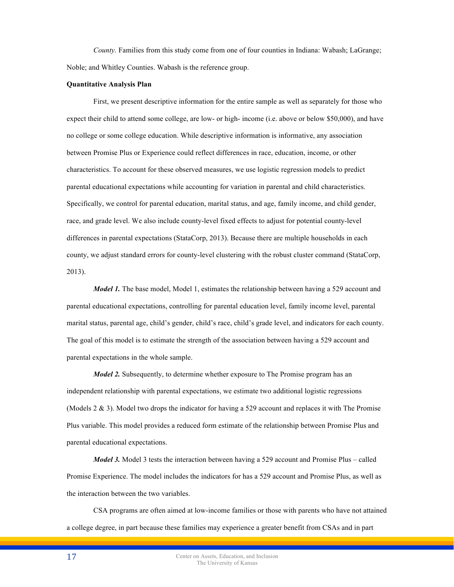*County.* Families from this study come from one of four counties in Indiana: Wabash; LaGrange; Noble; and Whitley Counties. Wabash is the reference group.

## **Quantitative Analysis Plan**

First, we present descriptive information for the entire sample as well as separately for those who expect their child to attend some college, are low- or high- income (i.e. above or below \$50,000), and have no college or some college education. While descriptive information is informative, any association between Promise Plus or Experience could reflect differences in race, education, income, or other characteristics. To account for these observed measures, we use logistic regression models to predict parental educational expectations while accounting for variation in parental and child characteristics. Specifically, we control for parental education, marital status, and age, family income, and child gender, race, and grade level. We also include county-level fixed effects to adjust for potential county-level differences in parental expectations (StataCorp, 2013). Because there are multiple households in each county, we adjust standard errors for county-level clustering with the robust cluster command (StataCorp, 2013).

*Model 1*. The base model, Model 1, estimates the relationship between having a 529 account and parental educational expectations, controlling for parental education level, family income level, parental marital status, parental age, child's gender, child's race, child's grade level, and indicators for each county. The goal of this model is to estimate the strength of the association between having a 529 account and parental expectations in the whole sample.

*Model 2.* Subsequently, to determine whether exposure to The Promise program has an independent relationship with parental expectations, we estimate two additional logistic regressions (Models 2 & 3). Model two drops the indicator for having a 529 account and replaces it with The Promise Plus variable. This model provides a reduced form estimate of the relationship between Promise Plus and parental educational expectations.

*Model 3.* Model 3 tests the interaction between having a 529 account and Promise Plus – called Promise Experience. The model includes the indicators for has a 529 account and Promise Plus, as well as the interaction between the two variables.

CSA programs are often aimed at low-income families or those with parents who have not attained a college degree, in part because these families may experience a greater benefit from CSAs and in part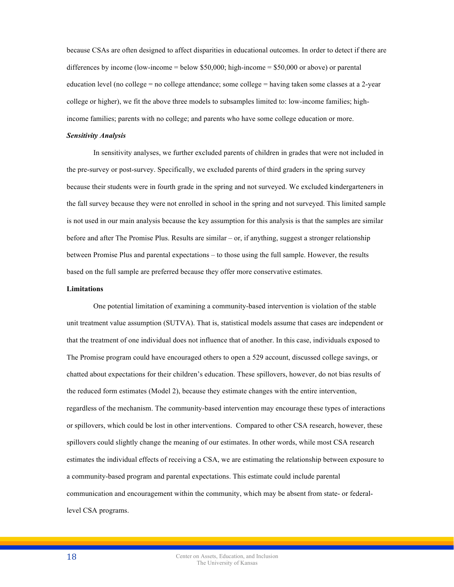because CSAs are often designed to affect disparities in educational outcomes. In order to detect if there are differences by income (low-income  $=$  below \$50,000; high-income  $=$  \$50,000 or above) or parental education level (no college = no college attendance; some college = having taken some classes at a 2-year college or higher), we fit the above three models to subsamples limited to: low-income families; highincome families; parents with no college; and parents who have some college education or more.

## *Sensitivity Analysis*

In sensitivity analyses, we further excluded parents of children in grades that were not included in the pre-survey or post-survey. Specifically, we excluded parents of third graders in the spring survey because their students were in fourth grade in the spring and not surveyed. We excluded kindergarteners in the fall survey because they were not enrolled in school in the spring and not surveyed. This limited sample is not used in our main analysis because the key assumption for this analysis is that the samples are similar before and after The Promise Plus. Results are similar – or, if anything, suggest a stronger relationship between Promise Plus and parental expectations – to those using the full sample. However, the results based on the full sample are preferred because they offer more conservative estimates.

## **Limitations**

One potential limitation of examining a community-based intervention is violation of the stable unit treatment value assumption (SUTVA). That is, statistical models assume that cases are independent or that the treatment of one individual does not influence that of another. In this case, individuals exposed to The Promise program could have encouraged others to open a 529 account, discussed college savings, or chatted about expectations for their children's education. These spillovers, however, do not bias results of the reduced form estimates (Model 2), because they estimate changes with the entire intervention, regardless of the mechanism. The community-based intervention may encourage these types of interactions or spillovers, which could be lost in other interventions. Compared to other CSA research, however, these spillovers could slightly change the meaning of our estimates. In other words, while most CSA research estimates the individual effects of receiving a CSA, we are estimating the relationship between exposure to a community-based program and parental expectations. This estimate could include parental communication and encouragement within the community, which may be absent from state- or federallevel CSA programs.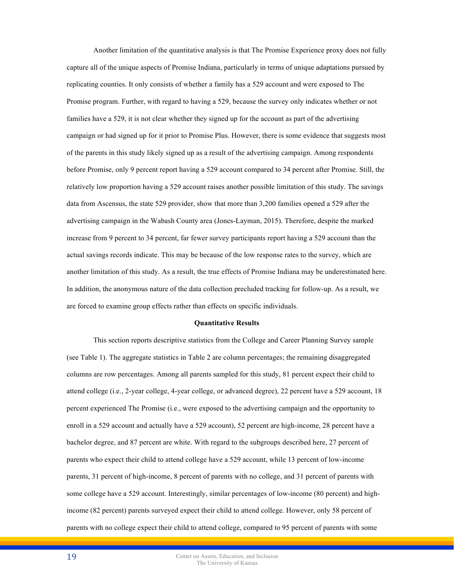Another limitation of the quantitative analysis is that The Promise Experience proxy does not fully capture all of the unique aspects of Promise Indiana, particularly in terms of unique adaptations pursued by replicating counties. It only consists of whether a family has a 529 account and were exposed to The Promise program. Further, with regard to having a 529, because the survey only indicates whether or not families have a 529, it is not clear whether they signed up for the account as part of the advertising campaign or had signed up for it prior to Promise Plus. However, there is some evidence that suggests most of the parents in this study likely signed up as a result of the advertising campaign. Among respondents before Promise, only 9 percent report having a 529 account compared to 34 percent after Promise. Still, the relatively low proportion having a 529 account raises another possible limitation of this study. The savings data from Ascensus, the state 529 provider, show that more than 3,200 families opened a 529 after the advertising campaign in the Wabash County area (Jones-Layman, 2015). Therefore, despite the marked increase from 9 percent to 34 percent, far fewer survey participants report having a 529 account than the actual savings records indicate. This may be because of the low response rates to the survey, which are another limitation of this study. As a result, the true effects of Promise Indiana may be underestimated here. In addition, the anonymous nature of the data collection precluded tracking for follow-up. As a result, we are forced to examine group effects rather than effects on specific individuals.

#### **Quantitative Results**

This section reports descriptive statistics from the College and Career Planning Survey sample (see Table 1). The aggregate statistics in Table 2 are column percentages; the remaining disaggregated columns are row percentages. Among all parents sampled for this study, 81 percent expect their child to attend college (i.e., 2-year college, 4-year college, or advanced degree), 22 percent have a 529 account, 18 percent experienced The Promise (i.e., were exposed to the advertising campaign and the opportunity to enroll in a 529 account and actually have a 529 account), 52 percent are high-income, 28 percent have a bachelor degree, and 87 percent are white. With regard to the subgroups described here, 27 percent of parents who expect their child to attend college have a 529 account, while 13 percent of low-income parents, 31 percent of high-income, 8 percent of parents with no college, and 31 percent of parents with some college have a 529 account. Interestingly, similar percentages of low-income (80 percent) and highincome (82 percent) parents surveyed expect their child to attend college. However, only 58 percent of parents with no college expect their child to attend college, compared to 95 percent of parents with some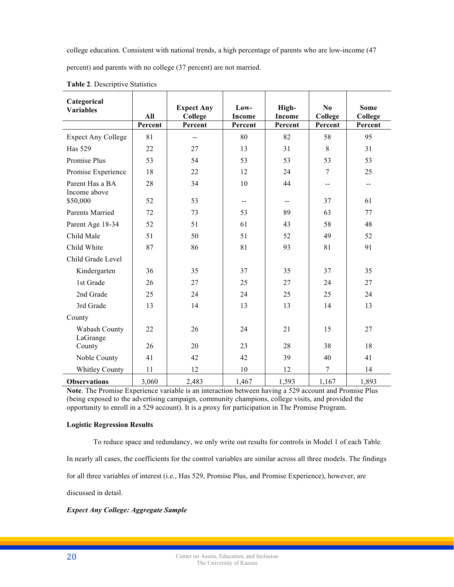college education. Consistent with national trends, a high percentage of parents who are low-income (47

percent) and parents with no college (37 percent) are not married.

| Categorical<br><b>Variables</b> | <b>Expect Any</b><br>All<br>College |         | High-<br>Low-<br><b>Income</b><br><b>Income</b> |         | N <sub>0</sub><br>College | <b>Some</b><br>College |
|---------------------------------|-------------------------------------|---------|-------------------------------------------------|---------|---------------------------|------------------------|
|                                 | Percent                             | Percent | Percent                                         | Percent | Percent                   | Percent                |
| <b>Expect Any College</b>       | 81                                  | $- -$   | 80                                              | 82      | 58                        | 95                     |
| <b>Has 529</b>                  | 22                                  | 27      | 13                                              | 31      | 8                         | 31                     |
| Promise Plus                    | 53                                  | 54      | 53                                              | 53      | 53                        | 53                     |
| Promise Experience              | 18                                  | 22      | 12                                              | 24      | 7                         | 25                     |
| Parent Has a BA<br>Income above | 28                                  | 34      | 10                                              | 44      | --                        | $- -$                  |
| \$50,000                        | 52                                  | 53      | --                                              | --      | 37                        | 61                     |
| Parents Married                 | 72                                  | 73      | 53                                              | 89      | 63                        | 77                     |
| Parent Age 18-34                | 52                                  | 51      | 61                                              | 43      | 58                        | 48                     |
| Child Male                      | 51                                  | 50      | 51                                              | 52      | 49                        | 52                     |
| Child White                     | 87                                  | 86      | 81                                              | 93      | 81                        | 91                     |
| Child Grade Level               |                                     |         |                                                 |         |                           |                        |
| Kindergarten                    | 36                                  | 35      | 37                                              | 35      | 37                        | 35                     |
| 1st Grade                       | 26                                  | 27      | 25                                              | 27      | 24                        | 27                     |
| 2nd Grade                       | 25                                  | 24      | 24                                              | 25      | 25                        | 24                     |
| 3rd Grade                       | 13                                  | 14      | 13                                              | 13      | 14                        | 13                     |
| County                          |                                     |         |                                                 |         |                           |                        |
| Wabash County<br>LaGrange       | 22                                  | 26      | 24                                              | 21      | 15                        | 27                     |
| County                          | 26                                  | 20      | 23                                              | 28      | 38                        | 18                     |
| Noble County                    | 41                                  | 42      | 42                                              | 39      | 40                        | 41                     |
| <b>Whitley County</b>           | 11                                  | 12      | 10                                              | 12      | 7                         | 14                     |
| <b>Observations</b>             | 3,060                               | 2,483   | 1,467                                           | 1,593   | 1,167                     | 1,893                  |

**Table 2**. Descriptive Statistics

**Note**. The Promise Experience variable is an interaction between having a 529 account and Promise Plus (being exposed to the advertising campaign, community champions, college visits, and provided the opportunity to enroll in a 529 account). It is a proxy for participation in The Promise Program.

# **Logistic Regression Results**

To reduce space and redundancy, we only write out results for controls in Model 1 of each Table.

In nearly all cases, the coefficients for the control variables are similar across all three models. The findings

for all three variables of interest (i.e., Has 529, Promise Plus, and Promise Experience), however, are

discussed in detail.

*Expect Any College: Aggregate Sample*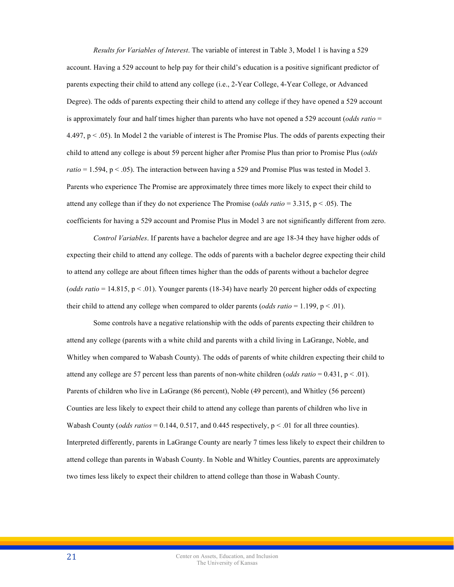*Results for Variables of Interest*. The variable of interest in Table 3, Model 1 is having a 529 account. Having a 529 account to help pay for their child's education is a positive significant predictor of parents expecting their child to attend any college (i.e., 2-Year College, 4-Year College, or Advanced Degree). The odds of parents expecting their child to attend any college if they have opened a 529 account is approximately four and half times higher than parents who have not opened a 529 account (*odds ratio* =  $4.497$ , p  $\leq$  0.05). In Model 2 the variable of interest is The Promise Plus. The odds of parents expecting their child to attend any college is about 59 percent higher after Promise Plus than prior to Promise Plus (*odds ratio* = 1.594, p < .05). The interaction between having a 529 and Promise Plus was tested in Model 3. Parents who experience The Promise are approximately three times more likely to expect their child to attend any college than if they do not experience The Promise (*odds ratio* = 3.315, p < .05). The coefficients for having a 529 account and Promise Plus in Model 3 are not significantly different from zero.

*Control Variables*. If parents have a bachelor degree and are age 18-34 they have higher odds of expecting their child to attend any college. The odds of parents with a bachelor degree expecting their child to attend any college are about fifteen times higher than the odds of parents without a bachelor degree (*odds ratio* = 14.815, p < .01). Younger parents (18-34) have nearly 20 percent higher odds of expecting their child to attend any college when compared to older parents (*odds ratio* = 1.199, p < .01).

Some controls have a negative relationship with the odds of parents expecting their children to attend any college (parents with a white child and parents with a child living in LaGrange, Noble, and Whitley when compared to Wabash County). The odds of parents of white children expecting their child to attend any college are 57 percent less than parents of non-white children (*odds ratio* =  $0.431$ ,  $p < .01$ ). Parents of children who live in LaGrange (86 percent), Noble (49 percent), and Whitley (56 percent) Counties are less likely to expect their child to attend any college than parents of children who live in Wabash County (*odds ratios* = 0.144, 0.517, and 0.445 respectively,  $p < 0.01$  for all three counties). Interpreted differently, parents in LaGrange County are nearly 7 times less likely to expect their children to attend college than parents in Wabash County. In Noble and Whitley Counties, parents are approximately two times less likely to expect their children to attend college than those in Wabash County.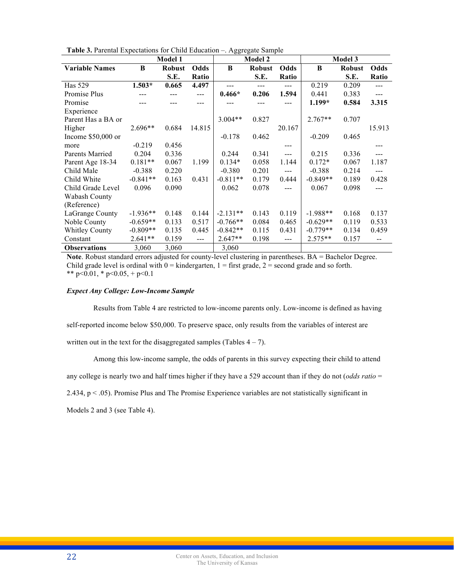| Table 3. Parental Expectations for Child Education - Aggregate Sample |  |  |  |  |
|-----------------------------------------------------------------------|--|--|--|--|
|-----------------------------------------------------------------------|--|--|--|--|

|                       | Model 1    |               |        | Model 2    |               |        | Model 3    |               |                |
|-----------------------|------------|---------------|--------|------------|---------------|--------|------------|---------------|----------------|
| <b>Variable Names</b> | B          | <b>Robust</b> | Odds   | B          | <b>Robust</b> | Odds   | B          | <b>Robust</b> | Odds           |
|                       |            | S.E.          | Ratio  |            | S.E.          | Ratio  |            | S.E.          | Ratio          |
| <b>Has 529</b>        | $1.503*$   | 0.665         | 4.497  |            | ---           | $---$  | 0.219      | 0.209         | $\overline{a}$ |
| Promise Plus          |            |               | $---$  | $0.466*$   | 0.206         | 1.594  | 0.441      | 0.383         | $---$          |
| Promise               |            |               |        |            |               |        | $1.199*$   | 0.584         | 3.315          |
| Experience            |            |               |        |            |               |        |            |               |                |
| Parent Has a BA or    |            |               |        | $3.004**$  | 0.827         |        | $2.767**$  | 0.707         |                |
| Higher                | 2.696**    | 0.684         | 14.815 |            |               | 20.167 |            |               | 15.913         |
| Income $$50,000$ or   |            |               |        | $-0.178$   | 0.462         |        | $-0.209$   | 0.465         |                |
| more                  | $-0.219$   | 0.456         |        |            |               |        |            |               |                |
| Parents Married       | 0.204      | 0.336         |        | 0.244      | 0.341         | $---$  | 0.215      | 0.336         | $\frac{1}{2}$  |
| Parent Age 18-34      | $0.181**$  | 0.067         | 1.199  | $0.134*$   | 0.058         | 1.144  | $0.172*$   | 0.067         | 1.187          |
| Child Male            | $-0.388$   | 0.220         |        | $-0.380$   | 0.201         | $---$  | $-0.388$   | 0.214         | $---$          |
| Child White           | $-0.841**$ | 0.163         | 0.431  | $-0.811**$ | 0.179         | 0.444  | $-0.849**$ | 0.189         | 0.428          |
| Child Grade Level     | 0.096      | 0.090         |        | 0.062      | 0.078         |        | 0.067      | 0.098         |                |
| Wabash County         |            |               |        |            |               |        |            |               |                |
| (Reference)           |            |               |        |            |               |        |            |               |                |
| LaGrange County       | $-1.936**$ | 0.148         | 0.144  | $-2.131**$ | 0.143         | 0.119  | $-1.988**$ | 0.168         | 0.137          |
| Noble County          | $-0.659**$ | 0.133         | 0.517  | $-0.766**$ | 0.084         | 0.465  | $-0.629**$ | 0.119         | 0.533          |
| <b>Whitley County</b> | $-0.809**$ | 0.135         | 0.445  | $-0.842**$ | 0.115         | 0.431  | $-0.779**$ | 0.134         | 0.459          |
| Constant              | $2.641**$  | 0.159         | $---$  | $2.647**$  | 0.198         | ---    | $2.575**$  | 0.157         |                |
| <b>Observations</b>   | 3,060      | 3,060         |        | 3,060      |               |        |            |               |                |

Note. Robust standard errors adjusted for county-level clustering in parentheses. BA = Bachelor Degree. Child grade level is ordinal with  $0 =$  kindergarten,  $1 =$  first grade,  $2 =$  second grade and so forth. \*\*  $p<0.01$ , \*  $p<0.05$ , +  $p<0.1$ 

# *Expect Any College: Low-Income Sample*

Results from Table 4 are restricted to low-income parents only. Low-income is defined as having

self-reported income below \$50,000. To preserve space, only results from the variables of interest are

written out in the text for the disaggregated samples (Tables  $4 - 7$ ).

Among this low-income sample, the odds of parents in this survey expecting their child to attend

any college is nearly two and half times higher if they have a 529 account than if they do not (*odds ratio* =

2.434,  $p < 0.05$ ). Promise Plus and The Promise Experience variables are not statistically significant in

Models 2 and 3 (see Table 4).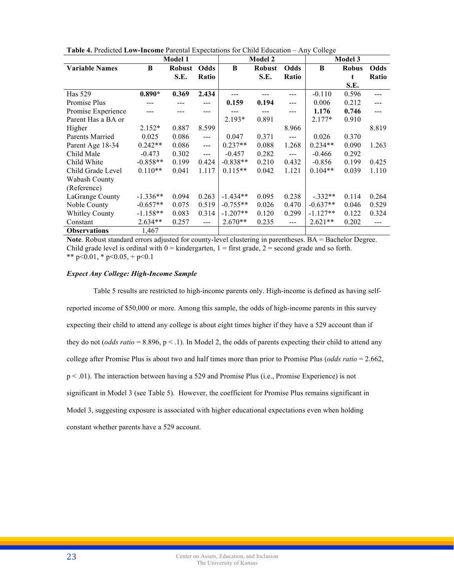|  | Table 4. Predicted Low-Income Parental Expectations for Child Education - Any College |
|--|---------------------------------------------------------------------------------------|
|--|---------------------------------------------------------------------------------------|

|                       | <b>Model 1</b> |               |                      | <b>Model 2</b> |               |             | Model 3    |              |             |
|-----------------------|----------------|---------------|----------------------|----------------|---------------|-------------|------------|--------------|-------------|
| <b>Variable Names</b> | B              | <b>Robust</b> | Odds                 | B              | <b>Robust</b> | <b>Odds</b> | B          | <b>Robus</b> | <b>Odds</b> |
|                       |                | S.E.          | Ratio                |                | S.E.          | Ratio       |            | t            | Ratio       |
|                       |                |               |                      |                |               |             |            | S.E.         |             |
| Has 529               | $0.890*$       | 0.369         | 2.434                |                |               | ---         | $-0.110$   | 0.596        | ---         |
| Promise Plus          |                |               | $---$                | 0.159          | 0.194         | ---         | 0.006      | 0.212        | ---         |
| Promise Experience    |                |               | ---                  |                |               | ---         | 1.176      | 0.746        | $---$       |
| Parent Has a BA or    |                |               |                      | $2.193*$       | 0.891         |             | $2.177*$   | 0.910        |             |
| Higher                | $2.152*$       | 0.887         | 8.599                |                |               | 8.966       |            |              | 8.819       |
| Parents Married       | 0.025          | 0.086         | $---$                | 0.047          | 0.371         | $---$       | 0.026      | 0.370        |             |
| Parent Age 18-34      | $0.242**$      | 0.086         | $\sim$ $\sim$ $\sim$ | $0.237**$      | 0.088         | 1.268       | $0.234**$  | 0.090        | 1.263       |
| Child Male            | $-0.473$       | 0.302         | $\frac{1}{2}$        | $-0.457$       | 0.282         | ---         | $-0.466$   | 0.292        |             |
| Child White           | $-0.858**$     | 0.199         | 0.424                | $-0.838**$     | 0.210         | 0.432       | $-0.856$   | 0.199        | 0.425       |
| Child Grade Level     | $0.110**$      | 0.041         | 1.117                | $0.115**$      | 0.042         | 1.121       | $0.104**$  | 0.039        | 1.110       |
| Wabash County         |                |               |                      |                |               |             |            |              |             |
| (Reference)           |                |               |                      |                |               |             |            |              |             |
| LaGrange County       | $-1.336**$     | 0.094         | 0.263                | $-1.434**$     | 0.095         | 0.238       | $-.332**$  | 0.114        | 0.264       |
| Noble County          | $-0.657**$     | 0.075         | 0.519                | $-0.755**$     | 0.026         | 0.470       | $-0.637**$ | 0.046        | 0.529       |
| <b>Whitley County</b> | $-1.158**$     | 0.083         | 0.314                | $-1.207**$     | 0.120         | 0.299       | $-1.127**$ | 0.122        | 0.324       |
| Constant              | $2.634**$      | 0.257         | $\frac{1}{2}$        | $2.670**$      | 0.235         | ---         | $2.621**$  | 0.202        | ---         |
| <b>Observations</b>   | 1,467          |               |                      |                |               |             |            |              |             |

Note. Robust standard errors adjusted for county-level clustering in parentheses. BA = Bachelor Degree. Child grade level is ordinal with  $0 =$  kindergarten,  $1 =$  first grade,  $2 =$  second grade and so forth. \*\* p<0.01, \* p<0.05, + p<0.1

# *Expect Any College: High-Income Sample*

Table 5 results are restricted to high-income parents only. High-income is defined as having selfreported income of \$50,000 or more. Among this sample, the odds of high-income parents in this survey expecting their child to attend any college is about eight times higher if they have a 529 account than if they do not (*odds ratio* = 8.896, p < .1). In Model 2, the odds of parents expecting their child to attend any college after Promise Plus is about two and half times more than prior to Promise Plus (*odds ratio* = 2.662, p < .01). The interaction between having a 529 and Promise Plus (i.e., Promise Experience) is not significant in Model 3 (see Table 5). However, the coefficient for Promise Plus remains significant in Model 3, suggesting exposure is associated with higher educational expectations even when holding constant whether parents have a 529 account.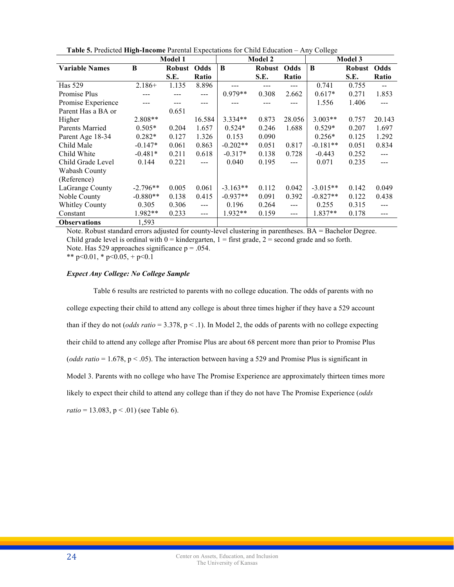|                       | <b>Model 1</b> |        |        | <b>Model 2</b> |               |               | <b>Model 3</b> |        |                          |
|-----------------------|----------------|--------|--------|----------------|---------------|---------------|----------------|--------|--------------------------|
| <b>Variable Names</b> | B              | Robust | Odds   | B              | <b>Robust</b> | Odds          | B              | Robust | Odds                     |
|                       |                | S.E.   | Ratio  |                | S.E.          | Ratio         |                | S.E.   | Ratio                    |
| Has 529               | $2.186+$       | 1.135  | 8.896  |                | ---           | ---           | 0.741          | 0.755  | $\overline{\phantom{a}}$ |
| Promise Plus          |                |        | ---    | $0.979**$      | 0.308         | 2.662         | $0.617*$       | 0.271  | 1.853                    |
| Promise Experience    |                | ---    | ---    |                |               | ---           | 1.556          | 1.406  |                          |
| Parent Has a BA or    |                | 0.651  |        |                |               |               |                |        |                          |
| Higher                | $2.808**$      |        | 16.584 | $3.334**$      | 0.873         | 28.056        | $3.003**$      | 0.757  | 20.143                   |
| Parents Married       | $0.505*$       | 0.204  | 1.657  | $0.524*$       | 0.246         | 1.688         | $0.529*$       | 0.207  | 1.697                    |
| Parent Age 18-34      | $0.282*$       | 0.127  | 1.326  | 0.153          | 0.090         |               | $0.256*$       | 0.125  | 1.292                    |
| Child Male            | $-0.147*$      | 0.061  | 0.863  | $-0.202**$     | 0.051         | 0.817         | $-0.181**$     | 0.051  | 0.834                    |
| Child White           | $-0.481*$      | 0.211  | 0.618  | $-0.317*$      | 0.138         | 0.728         | $-0.443$       | 0.252  | $---$                    |
| Child Grade Level     | 0.144          | 0.221  | $---$  | 0.040          | 0.195         | $---$         | 0.071          | 0.235  |                          |
| Wabash County         |                |        |        |                |               |               |                |        |                          |
| (Reference)           |                |        |        |                |               |               |                |        |                          |
| LaGrange County       | $-2.796**$     | 0.005  | 0.061  | $-3.163**$     | 0.112         | 0.042         | $-3.015**$     | 0.142  | 0.049                    |
| Noble County          | $-0.880**$     | 0.138  | 0.415  | $-0.937**$     | 0.091         | 0.392         | $-0.827**$     | 0.122  | 0.438                    |
| <b>Whitley County</b> | 0.305          | 0.306  | $---$  | 0.196          | 0.264         | $\frac{1}{2}$ | 0.255          | 0.315  | $\frac{1}{2}$            |
| Constant              | $1.982**$      | 0.233  | $---$  | $1.932**$      | 0.159         | ---           | $1.837**$      | 0.178  | ---                      |
| <b>Observations</b>   | 1,593          |        |        |                |               |               |                |        |                          |

**Table 5.** Predicted **High-Income** Parental Expectations for Child Education – Any College

Note. Robust standard errors adjusted for county-level clustering in parentheses. BA = Bachelor Degree. Child grade level is ordinal with  $0 =$  kindergarten,  $1 =$  first grade,  $2 =$  second grade and so forth. Note. Has 529 approaches significance  $p = .054$ .

\*\* p<0.01, \* p<0.05, + p<0.1

# *Expect Any College: No College Sample*

Table 6 results are restricted to parents with no college education. The odds of parents with no college expecting their child to attend any college is about three times higher if they have a 529 account than if they do not (*odds ratio* = 3.378,  $p < 1$ ). In Model 2, the odds of parents with no college expecting their child to attend any college after Promise Plus are about 68 percent more than prior to Promise Plus (*odds ratio* = 1.678, p < .05). The interaction between having a 529 and Promise Plus is significant in Model 3. Parents with no college who have The Promise Experience are approximately thirteen times more likely to expect their child to attend any college than if they do not have The Promise Experience (*odds*   $ratio = 13.083$ ,  $p < .01$ ) (see Table 6).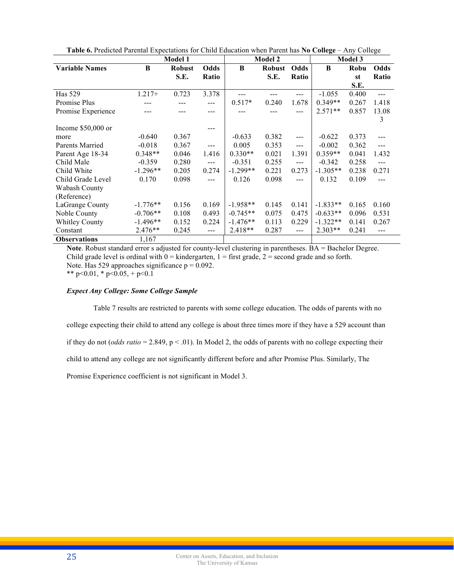|                       | <b>Model 1</b> |        |               | <b>Model 2</b> |               |                      | <b>Model 3</b> |       |                |
|-----------------------|----------------|--------|---------------|----------------|---------------|----------------------|----------------|-------|----------------|
| <b>Variable Names</b> | B              | Robust | <b>Odds</b>   | B              | <b>Robust</b> | <b>Odds</b>          | B              | Robu  | Odds           |
|                       |                | S.E.   | Ratio         |                | S.E.          | Ratio                |                | st    | Ratio          |
|                       |                |        |               |                |               |                      |                | S.E.  |                |
| Has 529               | $1.217+$       | 0.723  | 3.378         |                |               |                      | $-1.055$       | 0.400 | $---$          |
| Promise Plus          |                |        | ---           | $0.517*$       | 0.240         | 1.678                | $0.349**$      | 0.267 | 1.418          |
| Promise Experience    |                |        | ---           |                |               | ---                  | $2.571**$      | 0.857 | 13.08          |
|                       |                |        |               |                |               |                      |                |       | 3              |
| Income $$50,000$ or   |                |        |               |                |               |                      |                |       |                |
| more                  | $-0.640$       | 0.367  |               | $-0.633$       | 0.382         | $\sim$ $\sim$ $\sim$ | $-0.622$       | 0.373 | ---            |
| Parents Married       | $-0.018$       | 0.367  | $\frac{1}{2}$ | 0.005          | 0.353         | $---$                | $-0.002$       | 0.362 | $---$          |
| Parent Age 18-34      | $0.348**$      | 0.046  | 1.416         | $0.330**$      | 0.021         | 1.391                | $0.359**$      | 0.041 | 1.432          |
| Child Male            | $-0.359$       | 0.280  | $\frac{1}{2}$ | $-0.351$       | 0.255         | $\frac{1}{2}$        | $-0.342$       | 0.258 | $\overline{a}$ |
| Child White           | $-1.296**$     | 0.205  | 0.274         | $-1.299**$     | 0.221         | 0.273                | $-1.305**$     | 0.238 | 0.271          |
| Child Grade Level     | 0.170          | 0.098  | $---$         | 0.126          | 0.098         | $---$                | 0.132          | 0.109 | $- - -$        |
| Wabash County         |                |        |               |                |               |                      |                |       |                |
| (Reference)           |                |        |               |                |               |                      |                |       |                |
| LaGrange County       | $-1.776**$     | 0.156  | 0.169         | $-1.958**$     | 0.145         | 0.141                | $-1.833**$     | 0.165 | 0.160          |
| Noble County          | $-0.706**$     | 0.108  | 0.493         | $-0.745**$     | 0.075         | 0.475                | $-0.633**$     | 0.096 | 0.531          |
| <b>Whitley County</b> | $-1.496**$     | 0.152  | 0.224         | $-1.476**$     | 0.113         | 0.229                | $-1.322**$     | 0.141 | 0.267          |
| Constant              | $2.476**$      | 0.245  | ---           | $2.418**$      | 0.287         | $\frac{1}{2}$        | $2.303**$      | 0.241 | ---            |
| <b>Observations</b>   | 1,167          |        |               |                |               |                      |                |       |                |

**Table 6.** Predicted Parental Expectations for Child Education when Parent has **No College** – Any College

Note. Robust standard error s adjusted for county-level clustering in parentheses. BA = Bachelor Degree. Child grade level is ordinal with  $0 =$  kindergarten,  $1 =$  first grade,  $2 =$  second grade and so forth. Note. Has 529 approaches significance  $p = 0.092$ . \*\* p<0.01, \* p<0.05, + p<0.1

# *Expect Any College: Some College Sample*

Table 7 results are restricted to parents with some college education. The odds of parents with no college expecting their child to attend any college is about three times more if they have a 529 account than if they do not (*odds ratio* = 2.849,  $p < .01$ ). In Model 2, the odds of parents with no college expecting their child to attend any college are not significantly different before and after Promise Plus. Similarly, The Promise Experience coefficient is not significant in Model 3.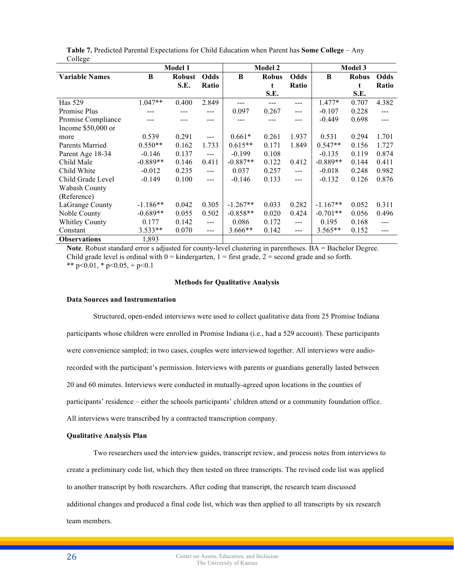|                       | Model 1    |               |       | <b>Model 2</b> |              |       | <b>Model 3</b> |              |               |
|-----------------------|------------|---------------|-------|----------------|--------------|-------|----------------|--------------|---------------|
| <b>Variable Names</b> | B          | <b>Robust</b> | Odds  | B              | <b>Robus</b> | Odds  | B              | <b>Robus</b> | Odds          |
|                       |            | S.E.          | Ratio |                | t            | Ratio |                | t            | Ratio         |
|                       |            |               |       |                | S.E.         |       |                | S.E.         |               |
| Has 529               | $1.047**$  | 0.400         | 2.849 |                |              | $---$ | $1.477*$       | 0.707        | 4.382         |
| Promise Plus          | ---        |               | ---   | 0.097          | 0.267        | $---$ | $-0.107$       | 0.228        | $\frac{1}{2}$ |
| Promise Compliance    |            |               |       |                |              |       | $-0.449$       | 0.698        | $---$         |
| Income $$50,000$ or   |            |               |       |                |              |       |                |              |               |
| more                  | 0.539      | 0.291         | $---$ | $0.661*$       | 0.261        | 1.937 | 0.531          | 0.294        | 1.701         |
| Parents Married       | $0.550**$  | 0.162         | 1.733 | $0.615**$      | 0.171        | 1.849 | $0.547**$      | 0.156        | 1.727         |
| Parent Age 18-34      | $-0.146$   | 0.137         | $---$ | $-0.199$       | 0.108        |       | $-0.135$       | 0.119        | 0.874         |
| Child Male            | $-0.889**$ | 0.146         | 0.411 | $-0.887**$     | 0.122        | 0.412 | $-0.889**$     | 0.144        | 0.411         |
| Child White           | $-0.012$   | 0.235         | $---$ | 0.037          | 0.257        | $---$ | $-0.018$       | 0.248        | 0.982         |
| Child Grade Level     | $-0.149$   | 0.100         | $---$ | $-0.146$       | 0.133        | $---$ | $-0.132$       | 0.126        | 0.876         |
| Wabash County         |            |               |       |                |              |       |                |              |               |
| (Reference)           |            |               |       |                |              |       |                |              |               |
| LaGrange County       | $-1.186**$ | 0.042         | 0.305 | $-1.267**$     | 0.033        | 0.282 | $-1.167**$     | 0.052        | 0.311         |
| Noble County          | $-0.689**$ | 0.055         | 0.502 | $-0.858**$     | 0.020        | 0.424 | $-0.701**$     | 0.056        | 0.496         |
| <b>Whitley County</b> | 0.177      | 0.142         | $---$ | 0.086          | 0.172        | $---$ | 0.195          | 0.168        | $---$         |
| Constant              | $3.533**$  | 0.070         | $---$ | $3.666**$      | 0.142        | $---$ | $3.565**$      | 0.152        | ---           |
| <b>Observations</b>   | 1,893      |               |       |                |              |       |                |              |               |

|         |  | Table 7. Predicted Parental Expectations for Child Education when Parent has Some College – Any |  |  |  |  |
|---------|--|-------------------------------------------------------------------------------------------------|--|--|--|--|
| College |  |                                                                                                 |  |  |  |  |

Note. Robust standard error s adjusted for county-level clustering in parentheses. BA = Bachelor Degree. Child grade level is ordinal with  $0 =$  kindergarten,  $1 =$  first grade,  $2 =$  second grade and so forth. \*\* p<0.01, \* p<0.05, + p<0.1

# **Methods for Qualitative Analysis**

#### **Data Sources and Instrumentation**

Structured, open-ended interviews were used to collect qualitative data from 25 Promise Indiana participants whose children were enrolled in Promise Indiana (i.e., had a 529 account). These participants were convenience sampled; in two cases, couples were interviewed together. All interviews were audiorecorded with the participant's permission. Interviews with parents or guardians generally lasted between 20 and 60 minutes. Interviews were conducted in mutually-agreed upon locations in the counties of participants' residence – either the schools participants' children attend or a community foundation office. All interviews were transcribed by a contracted transcription company.

## **Qualitative Analysis Plan**

Two researchers used the interview guides, transcript review, and process notes from interviews to create a preliminary code list, which they then tested on three transcripts. The revised code list was applied to another transcript by both researchers. After coding that transcript, the research team discussed additional changes and produced a final code list, which was then applied to all transcripts by six research team members.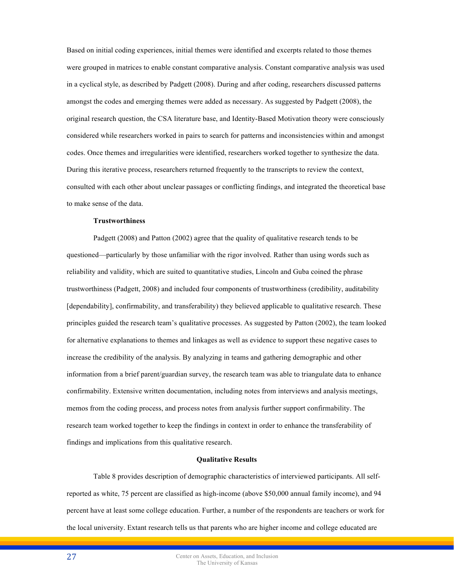Based on initial coding experiences, initial themes were identified and excerpts related to those themes were grouped in matrices to enable constant comparative analysis. Constant comparative analysis was used in a cyclical style, as described by Padgett (2008). During and after coding, researchers discussed patterns amongst the codes and emerging themes were added as necessary. As suggested by Padgett (2008), the original research question, the CSA literature base, and Identity-Based Motivation theory were consciously considered while researchers worked in pairs to search for patterns and inconsistencies within and amongst codes. Once themes and irregularities were identified, researchers worked together to synthesize the data. During this iterative process, researchers returned frequently to the transcripts to review the context, consulted with each other about unclear passages or conflicting findings, and integrated the theoretical base to make sense of the data.

## **Trustworthiness**

Padgett (2008) and Patton (2002) agree that the quality of qualitative research tends to be questioned—particularly by those unfamiliar with the rigor involved. Rather than using words such as reliability and validity, which are suited to quantitative studies, Lincoln and Guba coined the phrase trustworthiness (Padgett, 2008) and included four components of trustworthiness (credibility, auditability [dependability], confirmability, and transferability) they believed applicable to qualitative research. These principles guided the research team's qualitative processes. As suggested by Patton (2002), the team looked for alternative explanations to themes and linkages as well as evidence to support these negative cases to increase the credibility of the analysis. By analyzing in teams and gathering demographic and other information from a brief parent/guardian survey, the research team was able to triangulate data to enhance confirmability. Extensive written documentation, including notes from interviews and analysis meetings, memos from the coding process, and process notes from analysis further support confirmability. The research team worked together to keep the findings in context in order to enhance the transferability of findings and implications from this qualitative research.

#### **Qualitative Results**

Table 8 provides description of demographic characteristics of interviewed participants. All selfreported as white, 75 percent are classified as high-income (above \$50,000 annual family income), and 94 percent have at least some college education. Further, a number of the respondents are teachers or work for the local university. Extant research tells us that parents who are higher income and college educated are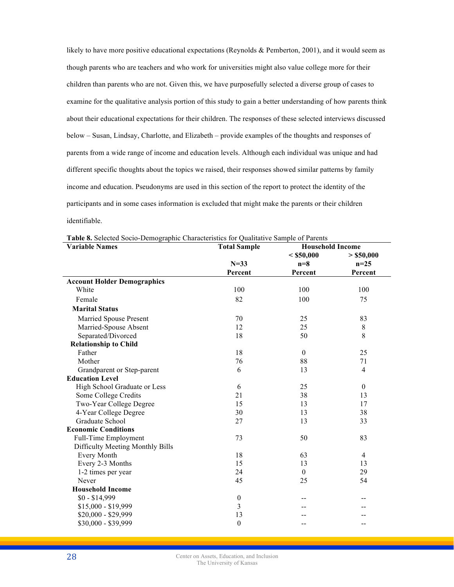likely to have more positive educational expectations (Reynolds & Pemberton, 2001), and it would seem as though parents who are teachers and who work for universities might also value college more for their children than parents who are not. Given this, we have purposefully selected a diverse group of cases to examine for the qualitative analysis portion of this study to gain a better understanding of how parents think about their educational expectations for their children. The responses of these selected interviews discussed below – Susan, Lindsay, Charlotte, and Elizabeth – provide examples of the thoughts and responses of parents from a wide range of income and education levels. Although each individual was unique and had different specific thoughts about the topics we raised, their responses showed similar patterns by family income and education. Pseudonyms are used in this section of the report to protect the identity of the participants and in some cases information is excluded that might make the parents or their children identifiable.

| <b>Variable Names</b>              | <b>Total Sample</b> | <b>Household Income</b> |                |  |  |
|------------------------------------|---------------------|-------------------------|----------------|--|--|
|                                    |                     | $<$ \$50,000            | > \$50,000     |  |  |
|                                    | $N=33$              | $n=8$                   | $n=25$         |  |  |
|                                    | Percent             | Percent                 | Percent        |  |  |
| <b>Account Holder Demographics</b> |                     |                         |                |  |  |
| White                              | 100                 | 100                     | 100            |  |  |
| Female                             | 82                  | 100                     | 75             |  |  |
| <b>Marital Status</b>              |                     |                         |                |  |  |
| Married Spouse Present             | 70                  | 25                      | 83             |  |  |
| Married-Spouse Absent              | 12                  | 25                      | 8              |  |  |
| Separated/Divorced                 | 18                  | 50                      | 8              |  |  |
| <b>Relationship to Child</b>       |                     |                         |                |  |  |
| Father                             | 18                  | $\mathbf{0}$            | 25             |  |  |
| Mother                             | 76                  | 88                      | 71             |  |  |
| Grandparent or Step-parent         | 6                   | 13                      | $\overline{4}$ |  |  |
| <b>Education Level</b>             |                     |                         |                |  |  |
| High School Graduate or Less       | 6                   | 25                      | $\mathbf{0}$   |  |  |
| Some College Credits               | 21                  | 38                      | 13             |  |  |
| Two-Year College Degree            | 15                  | 13                      | 17             |  |  |
| 4-Year College Degree              | 30                  | 13                      | 38             |  |  |
| Graduate School                    | 27                  | 13                      | 33             |  |  |
| <b>Economic Conditions</b>         |                     |                         |                |  |  |
| Full-Time Employment               | 73                  | 50                      | 83             |  |  |
| Difficulty Meeting Monthly Bills   |                     |                         |                |  |  |
| <b>Every Month</b>                 | 18                  | 63                      | $\overline{4}$ |  |  |
| Every 2-3 Months                   | 15                  | 13                      | 13             |  |  |
| 1-2 times per year                 | 24                  | $\theta$                | 29             |  |  |
| Never                              | 45                  | 25                      | 54             |  |  |
| <b>Household Income</b>            |                     |                         |                |  |  |
| $$0 - $14,999$                     | $\boldsymbol{0}$    |                         |                |  |  |
| $$15,000 - $19,999$                | 3                   |                         |                |  |  |
| \$20,000 - \$29,999                | 13                  |                         |                |  |  |
| \$30,000 - \$39,999                | $\boldsymbol{0}$    |                         |                |  |  |

**Table 8.** Selected Socio-Demographic Characteristics for Qualitative Sample of Parents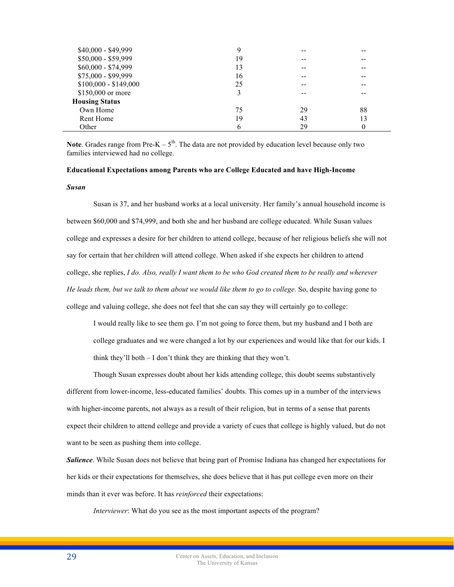| \$40,000 - \$49,999   | 9  | -- |    |
|-----------------------|----|----|----|
| \$50,000 - \$59,999   | 19 | -- |    |
| \$60,000 - \$74,999   | 13 | -- | -- |
| \$75,000 - \$99,999   | 16 | -- | -- |
| $$100,000 - $149,000$ | 25 | -- | -- |
| \$150,000 or more     | 3  |    |    |
| <b>Housing Status</b> |    |    |    |
| Own Home              | 75 | 29 | 88 |
| Rent Home             | 19 | 43 | 13 |
| Other                 | 6  | 29 | 0  |

**Note**. Grades range from Pre-K  $-5<sup>th</sup>$ . The data are not provided by education level because only two families interviewed had no college.

# **Educational Expectations among Parents who are College Educated and have High-Income**

## *Susan*

Susan is 37, and her husband works at a local university. Her family's annual household income is between \$60,000 and \$74,999, and both she and her husband are college educated. While Susan values college and expresses a desire for her children to attend college, because of her religious beliefs she will not say for certain that her children will attend college. When asked if she expects her children to attend college, she replies, *I do. Also, really I want them to be who God created them to be really and wherever He leads them, but we talk to them about we would like them to go to college.* So, despite having gone to college and valuing college, she does not feel that she can say they will certainly go to college:

I would really like to see them go. I'm not going to force them, but my husband and I both are college graduates and we were changed a lot by our experiences and would like that for our kids. I think they'll both – I don't think they are thinking that they won't.

Though Susan expresses doubt about her kids attending college, this doubt seems substantively different from lower-income, less-educated families' doubts. This comes up in a number of the interviews with higher-income parents, not always as a result of their religion, but in terms of a sense that parents expect their children to attend college and provide a variety of cues that college is highly valued, but do not want to be seen as pushing them into college.

*Salience*. While Susan does not believe that being part of Promise Indiana has changed her expectations for her kids or their expectations for themselves, she does believe that it has put college even more on their minds than it ever was before. It has *reinforced* their expectations:

*Interviewer*: What do you see as the most important aspects of the program?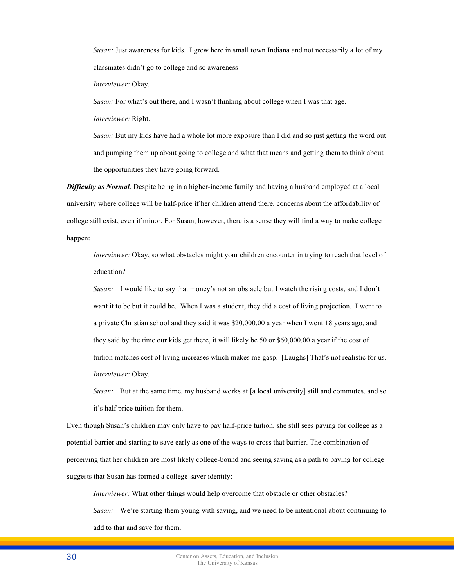*Susan:* Just awareness for kids. I grew here in small town Indiana and not necessarily a lot of my classmates didn't go to college and so awareness –

*Interviewer:* Okay.

*Susan:* For what's out there, and I wasn't thinking about college when I was that age.

*Interviewer:* Right.

*Susan:* But my kids have had a whole lot more exposure than I did and so just getting the word out and pumping them up about going to college and what that means and getting them to think about the opportunities they have going forward.

*Difficulty as Normal*. Despite being in a higher-income family and having a husband employed at a local university where college will be half-price if her children attend there, concerns about the affordability of college still exist, even if minor. For Susan, however, there is a sense they will find a way to make college happen:

*Interviewer:* Okay, so what obstacles might your children encounter in trying to reach that level of education?

*Susan:* I would like to say that money's not an obstacle but I watch the rising costs, and I don't want it to be but it could be. When I was a student, they did a cost of living projection. I went to a private Christian school and they said it was \$20,000.00 a year when I went 18 years ago, and they said by the time our kids get there, it will likely be 50 or \$60,000.00 a year if the cost of tuition matches cost of living increases which makes me gasp. [Laughs] That's not realistic for us. *Interviewer:* Okay.

*Susan:* But at the same time, my husband works at [a local university] still and commutes, and so it's half price tuition for them.

Even though Susan's children may only have to pay half-price tuition, she still sees paying for college as a potential barrier and starting to save early as one of the ways to cross that barrier. The combination of perceiving that her children are most likely college-bound and seeing saving as a path to paying for college suggests that Susan has formed a college-saver identity:

*Interviewer:* What other things would help overcome that obstacle or other obstacles?

*Susan:* We're starting them young with saving, and we need to be intentional about continuing to add to that and save for them.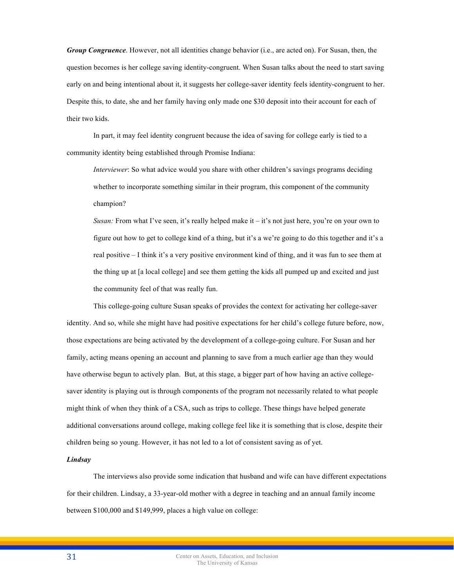*Group Congruence*. However, not all identities change behavior (i.e., are acted on). For Susan, then, the question becomes is her college saving identity-congruent. When Susan talks about the need to start saving early on and being intentional about it, it suggests her college-saver identity feels identity-congruent to her. Despite this, to date, she and her family having only made one \$30 deposit into their account for each of their two kids.

In part, it may feel identity congruent because the idea of saving for college early is tied to a community identity being established through Promise Indiana:

*Interviewer*: So what advice would you share with other children's savings programs deciding whether to incorporate something similar in their program, this component of the community champion?

*Susan:* From what I've seen, it's really helped make it – it's not just here, you're on your own to figure out how to get to college kind of a thing, but it's a we're going to do this together and it's a real positive – I think it's a very positive environment kind of thing, and it was fun to see them at the thing up at [a local college] and see them getting the kids all pumped up and excited and just the community feel of that was really fun.

This college-going culture Susan speaks of provides the context for activating her college-saver identity. And so, while she might have had positive expectations for her child's college future before, now, those expectations are being activated by the development of a college-going culture. For Susan and her family, acting means opening an account and planning to save from a much earlier age than they would have otherwise begun to actively plan. But, at this stage, a bigger part of how having an active collegesaver identity is playing out is through components of the program not necessarily related to what people might think of when they think of a CSA, such as trips to college. These things have helped generate additional conversations around college, making college feel like it is something that is close, despite their children being so young. However, it has not led to a lot of consistent saving as of yet.

## *Lindsay*

The interviews also provide some indication that husband and wife can have different expectations for their children. Lindsay, a 33-year-old mother with a degree in teaching and an annual family income between \$100,000 and \$149,999, places a high value on college: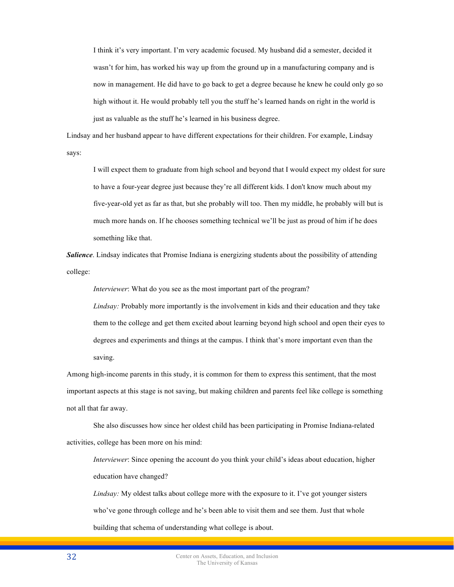I think it's very important. I'm very academic focused. My husband did a semester, decided it wasn't for him, has worked his way up from the ground up in a manufacturing company and is now in management. He did have to go back to get a degree because he knew he could only go so high without it. He would probably tell you the stuff he's learned hands on right in the world is just as valuable as the stuff he's learned in his business degree.

Lindsay and her husband appear to have different expectations for their children. For example, Lindsay says:

I will expect them to graduate from high school and beyond that I would expect my oldest for sure to have a four-year degree just because they're all different kids. I don't know much about my five-year-old yet as far as that, but she probably will too. Then my middle, he probably will but is much more hands on. If he chooses something technical we'll be just as proud of him if he does something like that.

*Salience*. Lindsay indicates that Promise Indiana is energizing students about the possibility of attending college:

*Interviewer*: What do you see as the most important part of the program?

*Lindsay:* Probably more importantly is the involvement in kids and their education and they take them to the college and get them excited about learning beyond high school and open their eyes to degrees and experiments and things at the campus. I think that's more important even than the saving.

Among high-income parents in this study, it is common for them to express this sentiment, that the most important aspects at this stage is not saving, but making children and parents feel like college is something not all that far away.

She also discusses how since her oldest child has been participating in Promise Indiana-related activities, college has been more on his mind:

*Interviewer*: Since opening the account do you think your child's ideas about education, higher education have changed?

*Lindsay:* My oldest talks about college more with the exposure to it. I've got younger sisters who've gone through college and he's been able to visit them and see them. Just that whole building that schema of understanding what college is about.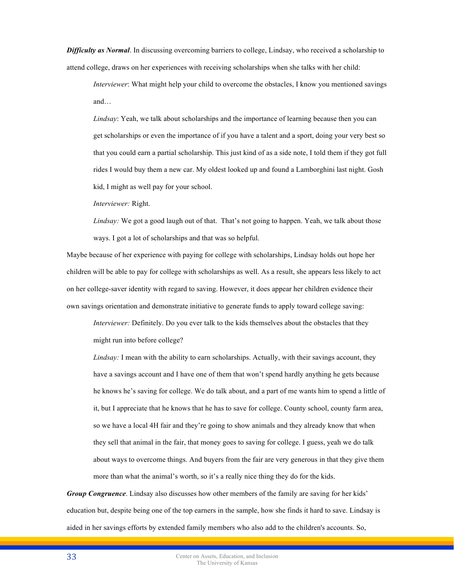*Difficulty as Normal*. In discussing overcoming barriers to college, Lindsay, who received a scholarship to attend college, draws on her experiences with receiving scholarships when she talks with her child:

*Interviewer*: What might help your child to overcome the obstacles, I know you mentioned savings and…

*Lindsay*: Yeah, we talk about scholarships and the importance of learning because then you can get scholarships or even the importance of if you have a talent and a sport, doing your very best so that you could earn a partial scholarship. This just kind of as a side note, I told them if they got full rides I would buy them a new car. My oldest looked up and found a Lamborghini last night. Gosh kid, I might as well pay for your school.

*Interviewer:* Right.

*Lindsay:* We got a good laugh out of that. That's not going to happen. Yeah, we talk about those ways. I got a lot of scholarships and that was so helpful.

Maybe because of her experience with paying for college with scholarships, Lindsay holds out hope her children will be able to pay for college with scholarships as well. As a result, she appears less likely to act on her college-saver identity with regard to saving. However, it does appear her children evidence their own savings orientation and demonstrate initiative to generate funds to apply toward college saving:

*Interviewer:* Definitely. Do you ever talk to the kids themselves about the obstacles that they might run into before college?

*Lindsay:* I mean with the ability to earn scholarships. Actually, with their savings account, they have a savings account and I have one of them that won't spend hardly anything he gets because he knows he's saving for college. We do talk about, and a part of me wants him to spend a little of it, but I appreciate that he knows that he has to save for college. County school, county farm area, so we have a local 4H fair and they're going to show animals and they already know that when they sell that animal in the fair, that money goes to saving for college. I guess, yeah we do talk about ways to overcome things. And buyers from the fair are very generous in that they give them more than what the animal's worth, so it's a really nice thing they do for the kids.

*Group Congruence*. Lindsay also discusses how other members of the family are saving for her kids' education but, despite being one of the top earners in the sample, how she finds it hard to save. Lindsay is aided in her savings efforts by extended family members who also add to the children's accounts. So,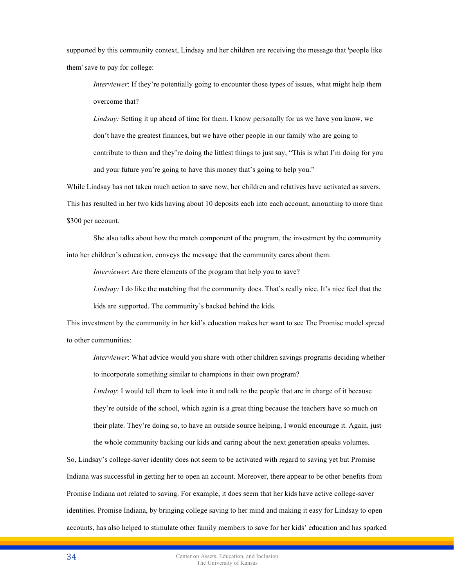supported by this community context, Lindsay and her children are receiving the message that 'people like them' save to pay for college:

*Interviewer*: If they're potentially going to encounter those types of issues, what might help them overcome that?

*Lindsay:* Setting it up ahead of time for them. I know personally for us we have you know, we don't have the greatest finances, but we have other people in our family who are going to contribute to them and they're doing the littlest things to just say, "This is what I'm doing for you and your future you're going to have this money that's going to help you."

While Lindsay has not taken much action to save now, her children and relatives have activated as savers. This has resulted in her two kids having about 10 deposits each into each account, amounting to more than \$300 per account.

She also talks about how the match component of the program, the investment by the community into her children's education, conveys the message that the community cares about them:

*Interviewer*: Are there elements of the program that help you to save?

*Lindsay:* I do like the matching that the community does. That's really nice. It's nice feel that the kids are supported. The community's backed behind the kids.

This investment by the community in her kid's education makes her want to see The Promise model spread to other communities:

*Interviewer*: What advice would you share with other children savings programs deciding whether to incorporate something similar to champions in their own program?

*Lindsay*: I would tell them to look into it and talk to the people that are in charge of it because they're outside of the school, which again is a great thing because the teachers have so much on their plate. They're doing so, to have an outside source helping, I would encourage it. Again, just the whole community backing our kids and caring about the next generation speaks volumes.

So, Lindsay's college-saver identity does not seem to be activated with regard to saving yet but Promise Indiana was successful in getting her to open an account. Moreover, there appear to be other benefits from Promise Indiana not related to saving. For example, it does seem that her kids have active college-saver identities. Promise Indiana, by bringing college saving to her mind and making it easy for Lindsay to open accounts, has also helped to stimulate other family members to save for her kids' education and has sparked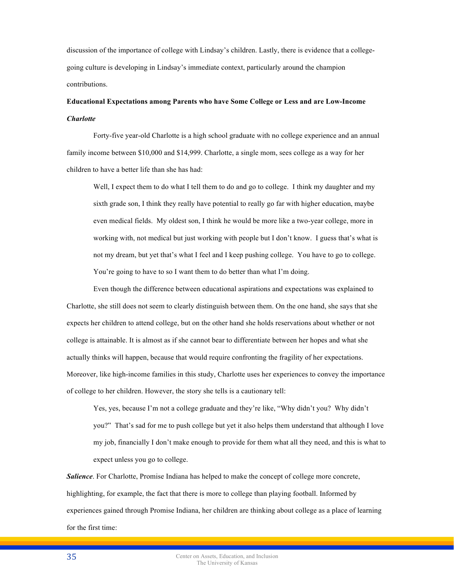discussion of the importance of college with Lindsay's children. Lastly, there is evidence that a collegegoing culture is developing in Lindsay's immediate context, particularly around the champion contributions.

# **Educational Expectations among Parents who have Some College or Less and are Low-Income**  *Charlotte*

Forty-five year-old Charlotte is a high school graduate with no college experience and an annual family income between \$10,000 and \$14,999. Charlotte, a single mom, sees college as a way for her children to have a better life than she has had:

Well, I expect them to do what I tell them to do and go to college. I think my daughter and my sixth grade son, I think they really have potential to really go far with higher education, maybe even medical fields. My oldest son, I think he would be more like a two-year college, more in working with, not medical but just working with people but I don't know. I guess that's what is not my dream, but yet that's what I feel and I keep pushing college. You have to go to college. You're going to have to so I want them to do better than what I'm doing.

Even though the difference between educational aspirations and expectations was explained to Charlotte, she still does not seem to clearly distinguish between them. On the one hand, she says that she expects her children to attend college, but on the other hand she holds reservations about whether or not college is attainable. It is almost as if she cannot bear to differentiate between her hopes and what she actually thinks will happen, because that would require confronting the fragility of her expectations. Moreover, like high-income families in this study, Charlotte uses her experiences to convey the importance of college to her children. However, the story she tells is a cautionary tell:

Yes, yes, because I'm not a college graduate and they're like, "Why didn't you? Why didn't you?" That's sad for me to push college but yet it also helps them understand that although I love my job, financially I don't make enough to provide for them what all they need, and this is what to expect unless you go to college.

*Salience*. For Charlotte, Promise Indiana has helped to make the concept of college more concrete, highlighting, for example, the fact that there is more to college than playing football. Informed by experiences gained through Promise Indiana, her children are thinking about college as a place of learning for the first time: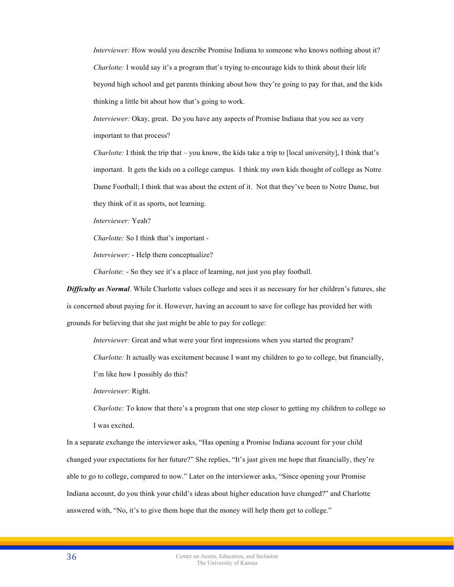*Interviewer:* How would you describe Promise Indiana to someone who knows nothing about it? *Charlotte:* I would say it's a program that's trying to encourage kids to think about their life beyond high school and get parents thinking about how they're going to pay for that, and the kids thinking a little bit about how that's going to work.

*Interviewer:* Okay, great. Do you have any aspects of Promise Indiana that you see as very important to that process?

*Charlotte:* I think the trip that – you know, the kids take a trip to [local university], I think that's important. It gets the kids on a college campus. I think my own kids thought of college as Notre Dame Football; I think that was about the extent of it. Not that they've been to Notre Dame, but they think of it as sports, not learning.

*Interviewer:* Yeah?

*Charlotte:* So I think that's important -

*Interviewer:* - Help them conceptualize?

*Charlotte:* - So they see it's a place of learning, not just you play football.

*Difficulty as Normal*. While Charlotte values college and sees it as necessary for her children's futures, she is concerned about paying for it. However, having an account to save for college has provided her with grounds for believing that she just might be able to pay for college:

*Interviewer:* Great and what were your first impressions when you started the program?

*Charlotte:* It actually was excitement because I want my children to go to college, but financially,

I'm like how I possibly do this?

*Interviewer:* Right.

*Charlotte:* To know that there's a program that one step closer to getting my children to college so I was excited.

In a separate exchange the interviewer asks, "Has opening a Promise Indiana account for your child changed your expectations for her future?" She replies, "It's just given me hope that financially, they're able to go to college, compared to now." Later on the interviewer asks, "Since opening your Promise Indiana account, do you think your child's ideas about higher education have changed?" and Charlotte answered with, "No, it's to give them hope that the money will help them get to college."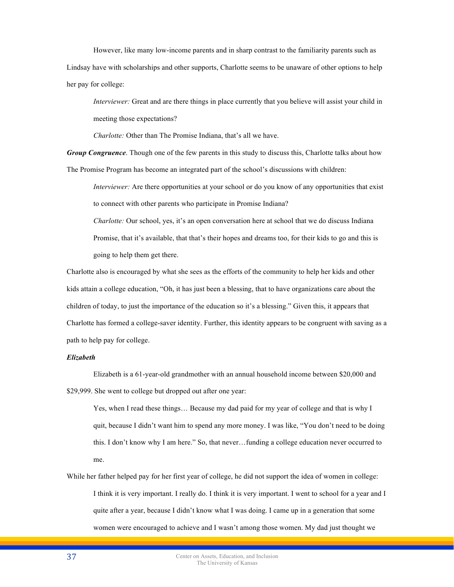However, like many low-income parents and in sharp contrast to the familiarity parents such as Lindsay have with scholarships and other supports, Charlotte seems to be unaware of other options to help her pay for college:

*Interviewer:* Great and are there things in place currently that you believe will assist your child in meeting those expectations?

*Charlotte:* Other than The Promise Indiana, that's all we have.

*Group Congruence*. Though one of the few parents in this study to discuss this, Charlotte talks about how The Promise Program has become an integrated part of the school's discussions with children:

*Interviewer:* Are there opportunities at your school or do you know of any opportunities that exist to connect with other parents who participate in Promise Indiana?

*Charlotte:* Our school, yes, it's an open conversation here at school that we do discuss Indiana Promise, that it's available, that that's their hopes and dreams too, for their kids to go and this is going to help them get there.

Charlotte also is encouraged by what she sees as the efforts of the community to help her kids and other kids attain a college education, "Oh, it has just been a blessing, that to have organizations care about the children of today, to just the importance of the education so it's a blessing." Given this, it appears that Charlotte has formed a college-saver identity. Further, this identity appears to be congruent with saving as a path to help pay for college.

# *Elizabeth*

Elizabeth is a 61-year-old grandmother with an annual household income between \$20,000 and \$29,999. She went to college but dropped out after one year:

Yes, when I read these things… Because my dad paid for my year of college and that is why I quit, because I didn't want him to spend any more money. I was like, "You don't need to be doing this. I don't know why I am here." So, that never…funding a college education never occurred to me.

While her father helped pay for her first year of college, he did not support the idea of women in college: I think it is very important. I really do. I think it is very important. I went to school for a year and I quite after a year, because I didn't know what I was doing. I came up in a generation that some women were encouraged to achieve and I wasn't among those women. My dad just thought we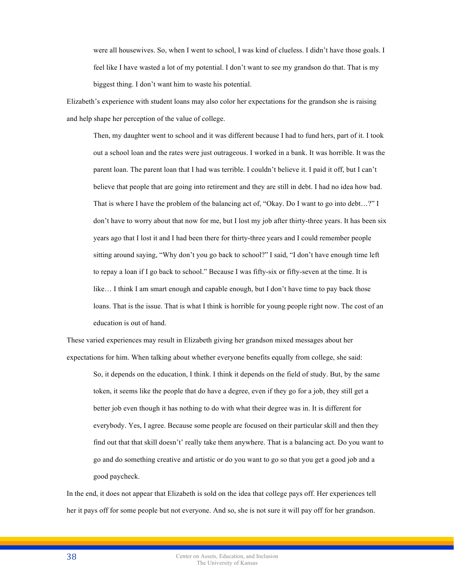were all housewives. So, when I went to school, I was kind of clueless. I didn't have those goals. I feel like I have wasted a lot of my potential. I don't want to see my grandson do that. That is my biggest thing. I don't want him to waste his potential.

Elizabeth's experience with student loans may also color her expectations for the grandson she is raising and help shape her perception of the value of college.

Then, my daughter went to school and it was different because I had to fund hers, part of it. I took out a school loan and the rates were just outrageous. I worked in a bank. It was horrible. It was the parent loan. The parent loan that I had was terrible. I couldn't believe it. I paid it off, but I can't believe that people that are going into retirement and they are still in debt. I had no idea how bad. That is where I have the problem of the balancing act of, "Okay. Do I want to go into debt…?" I don't have to worry about that now for me, but I lost my job after thirty-three years. It has been six years ago that I lost it and I had been there for thirty-three years and I could remember people sitting around saying, "Why don't you go back to school?" I said, "I don't have enough time left to repay a loan if I go back to school." Because I was fifty-six or fifty-seven at the time. It is like… I think I am smart enough and capable enough, but I don't have time to pay back those loans. That is the issue. That is what I think is horrible for young people right now. The cost of an education is out of hand.

These varied experiences may result in Elizabeth giving her grandson mixed messages about her expectations for him. When talking about whether everyone benefits equally from college, she said:

So, it depends on the education, I think. I think it depends on the field of study. But, by the same token, it seems like the people that do have a degree, even if they go for a job, they still get a better job even though it has nothing to do with what their degree was in. It is different for everybody. Yes, I agree. Because some people are focused on their particular skill and then they find out that that skill doesn't' really take them anywhere. That is a balancing act. Do you want to go and do something creative and artistic or do you want to go so that you get a good job and a good paycheck.

In the end, it does not appear that Elizabeth is sold on the idea that college pays off. Her experiences tell her it pays off for some people but not everyone. And so, she is not sure it will pay off for her grandson.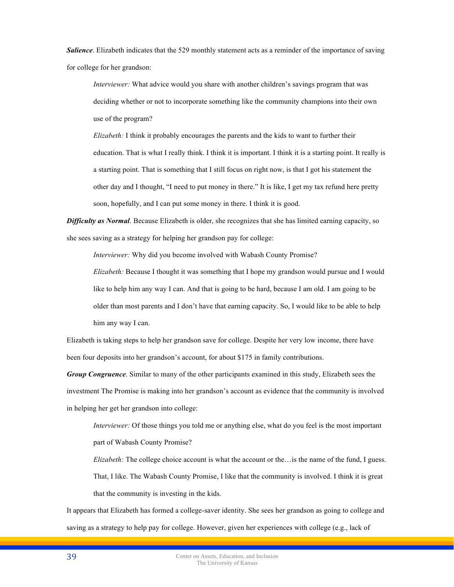*Salience*. Elizabeth indicates that the 529 monthly statement acts as a reminder of the importance of saving for college for her grandson:

*Interviewer:* What advice would you share with another children's savings program that was deciding whether or not to incorporate something like the community champions into their own use of the program?

*Elizabeth:* I think it probably encourages the parents and the kids to want to further their education. That is what I really think. I think it is important. I think it is a starting point. It really is a starting point. That is something that I still focus on right now, is that I got his statement the other day and I thought, "I need to put money in there." It is like, I get my tax refund here pretty soon, hopefully, and I can put some money in there. I think it is good.

*Difficulty as Normal*. Because Elizabeth is older, she recognizes that she has limited earning capacity, so she sees saving as a strategy for helping her grandson pay for college:

*Interviewer:* Why did you become involved with Wabash County Promise?

*Elizabeth:* Because I thought it was something that I hope my grandson would pursue and I would like to help him any way I can. And that is going to be hard, because I am old. I am going to be older than most parents and I don't have that earning capacity. So, I would like to be able to help him any way I can.

Elizabeth is taking steps to help her grandson save for college. Despite her very low income, there have been four deposits into her grandson's account, for about \$175 in family contributions.

*Group Congruence*. Similar to many of the other participants examined in this study, Elizabeth sees the investment The Promise is making into her grandson's account as evidence that the community is involved in helping her get her grandson into college:

*Interviewer:* Of those things you told me or anything else, what do you feel is the most important part of Wabash County Promise?

*Elizabeth:* The college choice account is what the account or the…is the name of the fund, I guess. That, I like. The Wabash County Promise, I like that the community is involved. I think it is great that the community is investing in the kids.

It appears that Elizabeth has formed a college-saver identity. She sees her grandson as going to college and saving as a strategy to help pay for college. However, given her experiences with college (e.g., lack of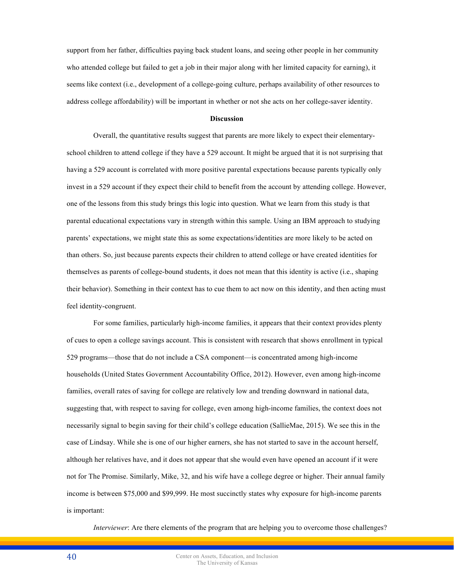support from her father, difficulties paying back student loans, and seeing other people in her community who attended college but failed to get a job in their major along with her limited capacity for earning), it seems like context (i.e., development of a college-going culture, perhaps availability of other resources to address college affordability) will be important in whether or not she acts on her college-saver identity.

#### **Discussion**

Overall, the quantitative results suggest that parents are more likely to expect their elementaryschool children to attend college if they have a 529 account. It might be argued that it is not surprising that having a 529 account is correlated with more positive parental expectations because parents typically only invest in a 529 account if they expect their child to benefit from the account by attending college. However, one of the lessons from this study brings this logic into question. What we learn from this study is that parental educational expectations vary in strength within this sample. Using an IBM approach to studying parents' expectations, we might state this as some expectations/identities are more likely to be acted on than others. So, just because parents expects their children to attend college or have created identities for themselves as parents of college-bound students, it does not mean that this identity is active (i.e., shaping their behavior). Something in their context has to cue them to act now on this identity, and then acting must feel identity-congruent.

For some families, particularly high-income families, it appears that their context provides plenty of cues to open a college savings account. This is consistent with research that shows enrollment in typical 529 programs—those that do not include a CSA component—is concentrated among high-income households (United States Government Accountability Office, 2012). However, even among high-income families, overall rates of saving for college are relatively low and trending downward in national data, suggesting that, with respect to saving for college, even among high-income families, the context does not necessarily signal to begin saving for their child's college education (SallieMae, 2015). We see this in the case of Lindsay. While she is one of our higher earners, she has not started to save in the account herself, although her relatives have, and it does not appear that she would even have opened an account if it were not for The Promise. Similarly, Mike, 32, and his wife have a college degree or higher. Their annual family income is between \$75,000 and \$99,999. He most succinctly states why exposure for high-income parents is important:

*Interviewer*: Are there elements of the program that are helping you to overcome those challenges?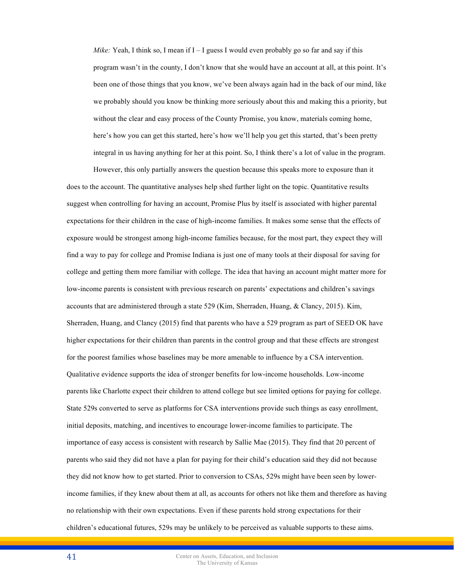*Mike:* Yeah, I think so, I mean if  $I - I$  guess I would even probably go so far and say if this program wasn't in the county, I don't know that she would have an account at all, at this point. It's been one of those things that you know, we've been always again had in the back of our mind, like we probably should you know be thinking more seriously about this and making this a priority, but without the clear and easy process of the County Promise, you know, materials coming home, here's how you can get this started, here's how we'll help you get this started, that's been pretty integral in us having anything for her at this point. So, I think there's a lot of value in the program.

However, this only partially answers the question because this speaks more to exposure than it does to the account. The quantitative analyses help shed further light on the topic. Quantitative results suggest when controlling for having an account, Promise Plus by itself is associated with higher parental expectations for their children in the case of high-income families. It makes some sense that the effects of exposure would be strongest among high-income families because, for the most part, they expect they will find a way to pay for college and Promise Indiana is just one of many tools at their disposal for saving for college and getting them more familiar with college. The idea that having an account might matter more for low-income parents is consistent with previous research on parents' expectations and children's savings accounts that are administered through a state 529 (Kim, Sherraden, Huang, & Clancy, 2015). Kim, Sherraden, Huang, and Clancy (2015) find that parents who have a 529 program as part of SEED OK have higher expectations for their children than parents in the control group and that these effects are strongest for the poorest families whose baselines may be more amenable to influence by a CSA intervention. Qualitative evidence supports the idea of stronger benefits for low-income households. Low-income parents like Charlotte expect their children to attend college but see limited options for paying for college. State 529s converted to serve as platforms for CSA interventions provide such things as easy enrollment, initial deposits, matching, and incentives to encourage lower-income families to participate. The importance of easy access is consistent with research by Sallie Mae (2015). They find that 20 percent of parents who said they did not have a plan for paying for their child's education said they did not because they did not know how to get started. Prior to conversion to CSAs, 529s might have been seen by lowerincome families, if they knew about them at all, as accounts for others not like them and therefore as having no relationship with their own expectations. Even if these parents hold strong expectations for their children's educational futures, 529s may be unlikely to be perceived as valuable supports to these aims.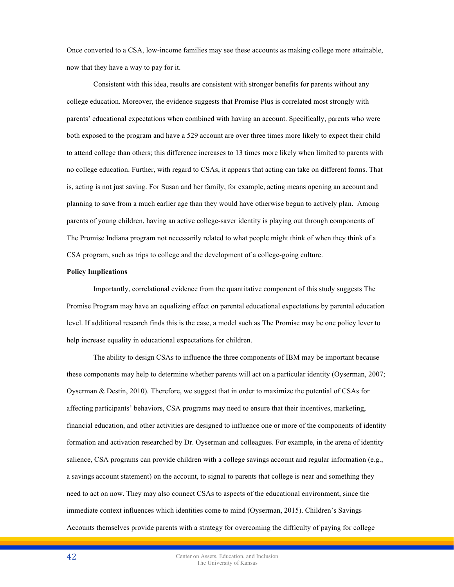Once converted to a CSA, low-income families may see these accounts as making college more attainable, now that they have a way to pay for it.

Consistent with this idea, results are consistent with stronger benefits for parents without any college education. Moreover, the evidence suggests that Promise Plus is correlated most strongly with parents' educational expectations when combined with having an account. Specifically, parents who were both exposed to the program and have a 529 account are over three times more likely to expect their child to attend college than others; this difference increases to 13 times more likely when limited to parents with no college education. Further, with regard to CSAs, it appears that acting can take on different forms. That is, acting is not just saving. For Susan and her family, for example, acting means opening an account and planning to save from a much earlier age than they would have otherwise begun to actively plan. Among parents of young children, having an active college-saver identity is playing out through components of The Promise Indiana program not necessarily related to what people might think of when they think of a CSA program, such as trips to college and the development of a college-going culture.

#### **Policy Implications**

Importantly, correlational evidence from the quantitative component of this study suggests The Promise Program may have an equalizing effect on parental educational expectations by parental education level. If additional research finds this is the case, a model such as The Promise may be one policy lever to help increase equality in educational expectations for children.

The ability to design CSAs to influence the three components of IBM may be important because these components may help to determine whether parents will act on a particular identity (Oyserman, 2007; Oyserman & Destin, 2010). Therefore, we suggest that in order to maximize the potential of CSAs for affecting participants' behaviors, CSA programs may need to ensure that their incentives, marketing, financial education, and other activities are designed to influence one or more of the components of identity formation and activation researched by Dr. Oyserman and colleagues. For example, in the arena of identity salience, CSA programs can provide children with a college savings account and regular information (e.g., a savings account statement) on the account, to signal to parents that college is near and something they need to act on now. They may also connect CSAs to aspects of the educational environment, since the immediate context influences which identities come to mind (Oyserman, 2015). Children's Savings Accounts themselves provide parents with a strategy for overcoming the difficulty of paying for college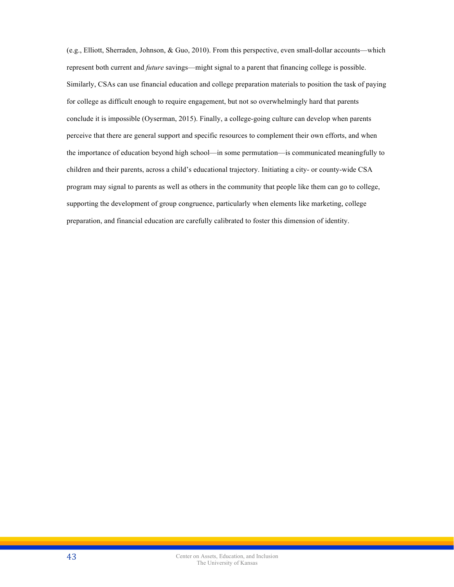(e.g., Elliott, Sherraden, Johnson, & Guo, 2010). From this perspective, even small-dollar accounts—which represent both current and *future* savings—might signal to a parent that financing college is possible. Similarly, CSAs can use financial education and college preparation materials to position the task of paying for college as difficult enough to require engagement, but not so overwhelmingly hard that parents conclude it is impossible (Oyserman, 2015). Finally, a college-going culture can develop when parents perceive that there are general support and specific resources to complement their own efforts, and when the importance of education beyond high school—in some permutation—is communicated meaningfully to children and their parents, across a child's educational trajectory. Initiating a city- or county-wide CSA program may signal to parents as well as others in the community that people like them can go to college, supporting the development of group congruence, particularly when elements like marketing, college preparation, and financial education are carefully calibrated to foster this dimension of identity.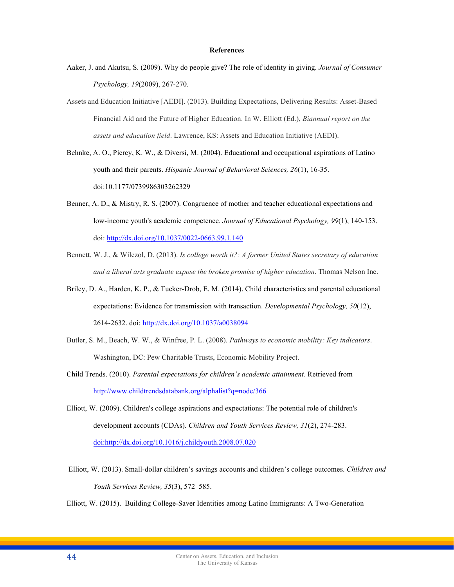#### **References**

- Aaker, J. and Akutsu, S. (2009). Why do people give? The role of identity in giving. *Journal of Consumer Psychology, 19*(2009), 267-270.
- Assets and Education Initiative [AEDI]. (2013). Building Expectations, Delivering Results: Asset-Based Financial Aid and the Future of Higher Education. In W. Elliott (Ed.), *Biannual report on the assets and education field*. Lawrence, KS: Assets and Education Initiative (AEDI).
- Behnke, A. O., Piercy, K. W., & Diversi, M. (2004). Educational and occupational aspirations of Latino youth and their parents. *Hispanic Journal of Behavioral Sciences, 26*(1), 16-35. doi:10.1177/0739986303262329
- Benner, A. D., & Mistry, R. S. (2007). Congruence of mother and teacher educational expectations and low-income youth's academic competence. *Journal of Educational Psychology, 99*(1), 140-153. doi: http://dx.doi.org/10.1037/0022-0663.99.1.140
- Bennett, W. J., & Wilezol, D. (2013). *Is college worth it?: A former United States secretary of education and a liberal arts graduate expose the broken promise of higher education*. Thomas Nelson Inc.
- Briley, D. A., Harden, K. P., & Tucker-Drob, E. M. (2014). Child characteristics and parental educational expectations: Evidence for transmission with transaction. *Developmental Psychology, 50*(12), 2614-2632. doi: http://dx.doi.org/10.1037/a0038094
- Butler, S. M., Beach, W. W., & Winfree, P. L. (2008). *Pathways to economic mobility: Key indicators*. Washington, DC: Pew Charitable Trusts, Economic Mobility Project.
- Child Trends. (2010). *Parental expectations for children's academic attainment.* Retrieved from http://www.childtrendsdatabank.org/alphalist?q=node/366
- Elliott, W. (2009). Children's college aspirations and expectations: The potential role of children's development accounts (CDAs). *Children and Youth Services Review, 31*(2), 274-283. doi:http://dx.doi.org/10.1016/j.childyouth.2008.07.020
- Elliott, W. (2013). Small-dollar children's savings accounts and children's college outcomes. *Children and Youth Services Review, 35*(3), 572–585.

Elliott, W. (2015). Building College-Saver Identities among Latino Immigrants: A Two-Generation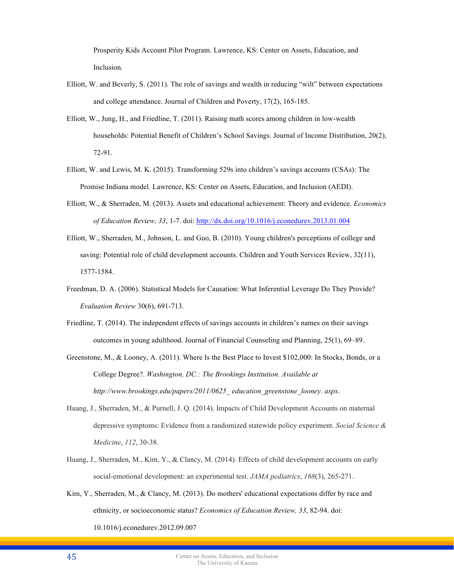Prosperity Kids Account Pilot Program. Lawrence, KS: Center on Assets, Education, and Inclusion.

- Elliott, W. and Beverly, S. (2011). The role of savings and wealth in reducing "wilt" between expectations and college attendance. Journal of Children and Poverty, 17(2), 165-185.
- Elliott, W., Jung, H., and Friedline, T. (2011). Raising math scores among children in low-wealth households: Potential Benefit of Children's School Savings. Journal of Income Distribution, 20(2), 72-91.
- Elliott, W. and Lewis, M. K. (2015). Transforming 529s into children's savings accounts (CSAs): The Promise Indiana model. Lawrence, KS: Center on Assets, Education, and Inclusion (AEDI).
- Elliott, W., & Sherraden, M. (2013). Assets and educational achievement: Theory and evidence. *Economics of Education Review, 33*, 1-7. doi: http://dx.doi.org/10.1016/j.econedurev.2013.01.004
- Elliott, W., Sherraden, M., Johnson, L. and Guo, B. (2010). Young children's perceptions of college and saving: Potential role of child development accounts. Children and Youth Services Review, 32(11), 1577-1584.
- Freedman, D. A. (2006). Statistical Models for Causation: What Inferential Leverage Do They Provide? *Evaluation Review* 30(6), 691-713.
- Friedline, T. (2014). The independent effects of savings accounts in children's names on their savings outcomes in young adulthood. Journal of Financial Counseling and Planning, 25(1), 69–89.
- Greenstone, M., & Looney, A. (2011). Where Is the Best Place to Invest \$102,000: In Stocks, Bonds, or a College Degree?. *Washington, DC.: The Brookings Institution. Available at http://www.brookings.edu/papers/2011/0625\_ education\_greenstone\_looney. aspx*.
- Huang, J., Sherraden, M., & Purnell, J. Q. (2014). Impacts of Child Development Accounts on maternal depressive symptoms: Evidence from a randomized statewide policy experiment. *Social Science & Medicine*, *112*, 30-38.
- Huang, J., Sherraden, M., Kim, Y., & Clancy, M. (2014). Effects of child development accounts on early social-emotional development: an experimental test. *JAMA pediatrics*, *168*(3), 265-271.
- Kim, Y., Sherraden, M., & Clancy, M. (2013). Do mothers' educational expectations differ by race and ethnicity, or socioeconomic status? *Economics of Education Review, 33*, 82-94. doi: 10.1016/j.econedurev.2012.09.007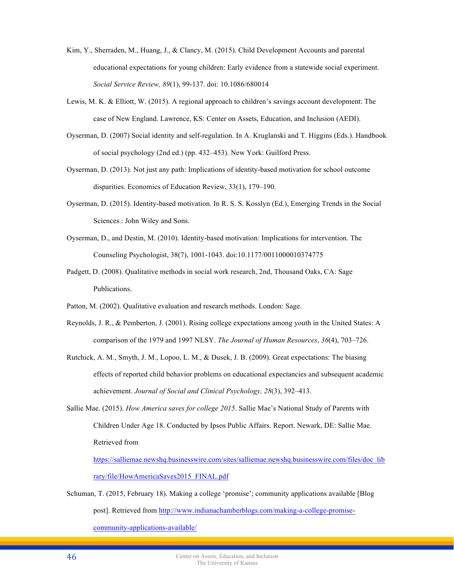- Kim, Y., Sherraden, M., Huang, J., & Clancy, M. (2015). Child Development Accounts and parental educational expectations for young children: Early evidence from a statewide social experiment. *Social Service Review, 89*(1), 99-137. doi: 10.1086/680014
- Lewis, M. K. & Elliott, W. (2015). A regional approach to children's savings account development: The case of New England. Lawrence, KS: Center on Assets, Education, and Inclusion (AEDI).
- Oyserman, D. (2007) Social identity and self-regulation. In A. Kruglanski and T. Higgins (Eds.). Handbook of social psychology (2nd ed.) (pp. 432‒453). New York: Guilford Press.
- Oyserman, D. (2013). Not just any path: Implications of identity-based motivation for school outcome disparities. Economics of Education Review, 33(1), 179–190.
- Oyserman, D. (2015). Identity-based motivation. In R. S. S. Kosslyn (Ed.), Emerging Trends in the Social Sciences.: John Wiley and Sons.
- Oyserman, D., and Destin, M. (2010). Identity-based motivation: Implications for intervention. The Counseling Psychologist, 38(7), 1001-1043. doi:10.1177/0011000010374775
- Padgett, D. (2008). Qualitative methods in social work research, 2nd, Thousand Oaks, CA: Sage Publications.
- Patton, M. (2002). Qualitative evaluation and research methods. London: Sage.
- Reynolds, J. R., & Pemberton, J. (2001). Rising college expectations among youth in the United States: A comparison of the 1979 and 1997 NLSY. *The Journal of Human Resources*, *36*(4), 703‒726.
- Rutchick, A. M., Smyth, J. M., Lopoo, L. M., & Dusek, J. B. (2009). Great expectations: The biasing effects of reported child behavior problems on educational expectancies and subsequent academic achievement. *Journal of Social and Clinical Psychology, 28*(3), 392–413.
- Sallie Mae. (2015). *How America saves for college 2015*. Sallie Mae's National Study of Parents with Children Under Age 18. Conducted by Ipsos Public Affairs. Report. Newark, DE: Sallie Mae. Retrieved from

https://salliemae.newshq.businesswire.com/sites/salliemae.newshq.businesswire.com/files/doc\_lib rary/file/HowAmericaSaves2015\_FINAL.pdf

Schuman, T. (2015, February 18). Making a college 'promise'; community applications available [Blog post]. Retrieved from http://www.indianachamberblogs.com/making-a-college-promise-

community-applications-available/